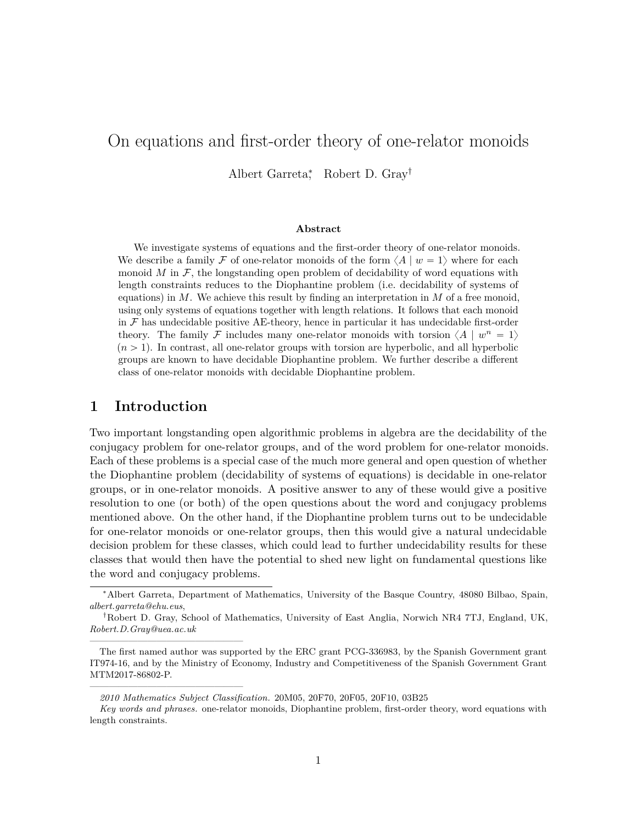# On equations and first-order theory of one-relator monoids

Albert Garreta<sup>∗</sup> , Robert D. Gray†

#### **Abstract**

We investigate systems of equations and the first-order theory of one-relator monoids. We describe a family F of one-relator monoids of the form  $\langle A | w = 1 \rangle$  where for each monoid  $M$  in  $\mathcal{F}$ , the longstanding open problem of decidability of word equations with length constraints reduces to the Diophantine problem (i.e. decidability of systems of equations) in *M*. We achieve this result by finding an interpretation in *M* of a free monoid, using only systems of equations together with length relations. It follows that each monoid in  $\mathcal F$  has undecidable positive AE-theory, hence in particular it has undecidable first-order theory. The family F includes many one-relator monoids with torsion  $\langle A | w^n = 1 \rangle$  $(n > 1)$ . In contrast, all one-relator groups with torsion are hyperbolic, and all hyperbolic groups are known to have decidable Diophantine problem. We further describe a different class of one-relator monoids with decidable Diophantine problem.

### <span id="page-0-0"></span>**1 Introduction**

————————————————

————————————————

Two important longstanding open algorithmic problems in algebra are the decidability of the conjugacy problem for one-relator groups, and of the word problem for one-relator monoids. Each of these problems is a special case of the much more general and open question of whether the Diophantine problem (decidability of systems of equations) is decidable in one-relator groups, or in one-relator monoids. A positive answer to any of these would give a positive resolution to one (or both) of the open questions about the word and conjugacy problems mentioned above. On the other hand, if the Diophantine problem turns out to be undecidable for one-relator monoids or one-relator groups, then this would give a natural undecidable decision problem for these classes, which could lead to further undecidability results for these classes that would then have the potential to shed new light on fundamental questions like the word and conjugacy problems.

<sup>∗</sup>Albert Garreta, Department of Mathematics, University of the Basque Country, 48080 Bilbao, Spain, *albert.garreta@ehu.eus*,

<sup>†</sup>Robert D. Gray, School of Mathematics, University of East Anglia, Norwich NR4 7TJ, England, UK, *Robert.D.Gray@uea.ac.uk*

The first named author was supported by the ERC grant PCG-336983, by the Spanish Government grant IT974-16, and by the Ministry of Economy, Industry and Competitiveness of the Spanish Government Grant MTM2017-86802-P.

*<sup>2010</sup> Mathematics Subject Classification.* 20M05, 20F70, 20F05, 20F10, 03B25

*Key words and phrases.* one-relator monoids, Diophantine problem, first-order theory, word equations with length constraints.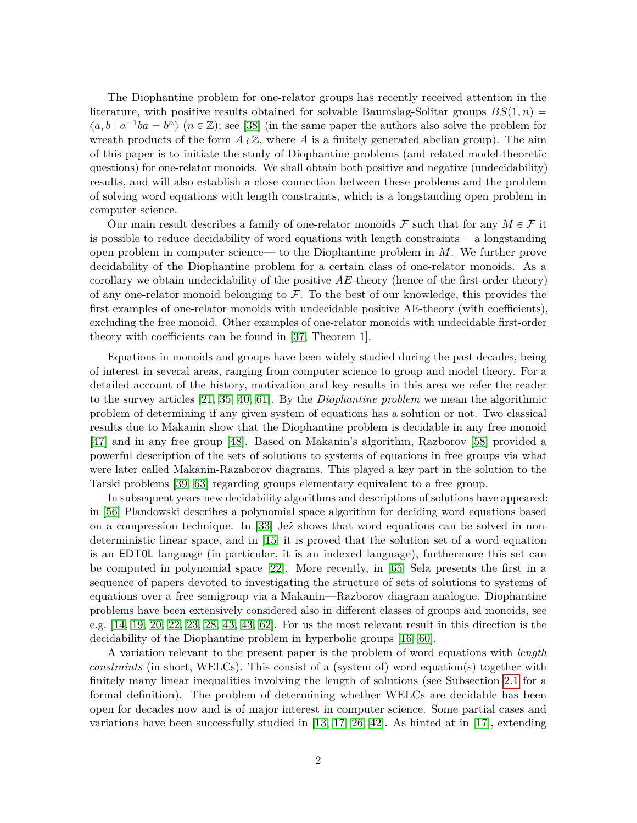The Diophantine problem for one-relator groups has recently received attention in the literature, with positive results obtained for solvable Baumslag-Solitar groups  $BS(1, n)$  $\langle a, b \mid a^{-1}ba = b^n \rangle$   $(n \in \mathbb{Z})$ ; see [\[38\]](#page-28-0) (in the same paper the authors also solve the problem for wreath products of the form  $A \nvert \mathbb{Z}$ , where A is a finitely generated abelian group). The aim of this paper is to initiate the study of Diophantine problems (and related model-theoretic questions) for one-relator monoids. We shall obtain both positive and negative (undecidability) results, and will also establish a close connection between these problems and the problem of solving word equations with length constraints, which is a longstanding open problem in computer science.

Our main result describes a family of one-relator monoids  $\mathcal F$  such that for any  $M \in \mathcal F$  it is possible to reduce decidability of word equations with length constraints —a longstanding open problem in computer science— to the Diophantine problem in *M*. We further prove decidability of the Diophantine problem for a certain class of one-relator monoids. As a corollary we obtain undecidability of the positive *AE*-theory (hence of the first-order theory) of any one-relator monoid belonging to  $\mathcal F$ . To the best of our knowledge, this provides the first examples of one-relator monoids with undecidable positive AE-theory (with coefficients), excluding the free monoid. Other examples of one-relator monoids with undecidable first-order theory with coefficients can be found in [\[37,](#page-28-1) Theorem 1].

Equations in monoids and groups have been widely studied during the past decades, being of interest in several areas, ranging from computer science to group and model theory. For a detailed account of the history, motivation and key results in this area we refer the reader to the survey articles [\[21,](#page-27-0) [35,](#page-28-2) [40,](#page-29-0) [61\]](#page-30-0). By the *Diophantine problem* we mean the algorithmic problem of determining if any given system of equations has a solution or not. Two classical results due to Makanin show that the Diophantine problem is decidable in any free monoid [\[47\]](#page-29-1) and in any free group [\[48\]](#page-29-2). Based on Makanin's algorithm, Razborov [\[58\]](#page-30-1) provided a powerful description of the sets of solutions to systems of equations in free groups via what were later called Makanin-Razaborov diagrams. This played a key part in the solution to the Tarski problems [\[39,](#page-28-3) [63\]](#page-30-2) regarding groups elementary equivalent to a free group.

In subsequent years new decidability algorithms and descriptions of solutions have appeared: in [\[56\]](#page-30-3) Plandowski describes a polynomial space algorithm for deciding word equations based on a compression technique. In [\[33\]](#page-28-4) Jeż shows that word equations can be solved in nondeterministic linear space, and in [\[15\]](#page-27-1) it is proved that the solution set of a word equation is an EDT0L language (in particular, it is an indexed language), furthermore this set can be computed in polynomial space [\[22\]](#page-27-2). More recently, in [\[65\]](#page-30-4) Sela presents the first in a sequence of papers devoted to investigating the structure of sets of solutions to systems of equations over a free semigroup via a Makanin—Razborov diagram analogue. Diophantine problems have been extensively considered also in different classes of groups and monoids, see e.g. [\[14,](#page-27-3) [19,](#page-27-4) [20,](#page-27-5) [22,](#page-27-2) [23,](#page-27-6) [28,](#page-28-5) [43,](#page-29-3) [43,](#page-29-3) [62\]](#page-30-5). For us the most relevant result in this direction is the decidability of the Diophantine problem in hyperbolic groups [\[16,](#page-27-7) [60\]](#page-30-6).

A variation relevant to the present paper is the problem of word equations with *length constraints* (in short, WELCs). This consist of a (system of) word equation(s) together with finitely many linear inequalities involving the length of solutions (see Subsection [2.1](#page-6-0) for a formal definition). The problem of determining whether WELCs are decidable has been open for decades now and is of major interest in computer science. Some partial cases and variations have been successfully studied in [\[13,](#page-27-8) [17,](#page-27-9) [26,](#page-27-10) [42\]](#page-29-4). As hinted at in [\[17\]](#page-27-9), extending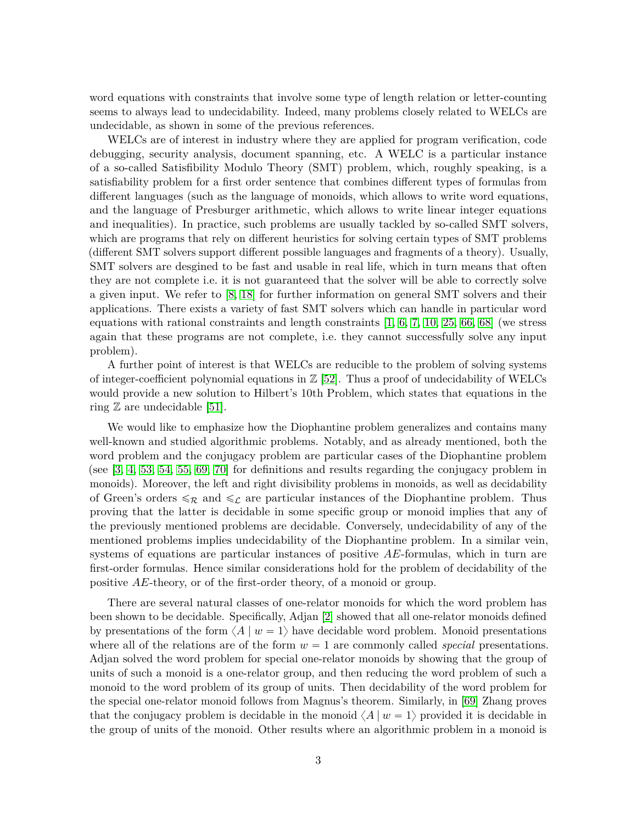word equations with constraints that involve some type of length relation or letter-counting seems to always lead to undecidability. Indeed, many problems closely related to WELCs are undecidable, as shown in some of the previous references.

WELCs are of interest in industry where they are applied for program verification, code debugging, security analysis, document spanning, etc. A WELC is a particular instance of a so-called Satisfibility Modulo Theory (SMT) problem, which, roughly speaking, is a satisfiability problem for a first order sentence that combines different types of formulas from different languages (such as the language of monoids, which allows to write word equations, and the language of Presburger arithmetic, which allows to write linear integer equations and inequalities). In practice, such problems are usually tackled by so-called SMT solvers, which are programs that rely on different heuristics for solving certain types of SMT problems (different SMT solvers support different possible languages and fragments of a theory). Usually, SMT solvers are desgined to be fast and usable in real life, which in turn means that often they are not complete i.e. it is not guaranteed that the solver will be able to correctly solve a given input. We refer to [\[8,](#page-26-0) [18\]](#page-27-11) for further information on general SMT solvers and their applications. There exists a variety of fast SMT solvers which can handle in particular word equations with rational constraints and length constraints [\[1,](#page-26-1) [6,](#page-26-2) [7,](#page-26-3) [10,](#page-26-4) [25,](#page-27-12) [66,](#page-30-7) [68\]](#page-30-8) (we stress again that these programs are not complete, i.e. they cannot successfully solve any input problem).

A further point of interest is that WELCs are reducible to the problem of solving systems of integer-coefficient polynomial equations in  $\mathbb{Z}$  [\[52\]](#page-29-5). Thus a proof of undecidability of WELCs would provide a new solution to Hilbert's 10th Problem, which states that equations in the ring  $\mathbb Z$  are undecidable [\[51\]](#page-29-6).

We would like to emphasize how the Diophantine problem generalizes and contains many well-known and studied algorithmic problems. Notably, and as already mentioned, both the word problem and the conjugacy problem are particular cases of the Diophantine problem (see [\[3,](#page-26-5) [4,](#page-26-6) [53,](#page-29-7) [54,](#page-29-8) [55,](#page-29-9) [69,](#page-30-9) [70\]](#page-30-10) for definitions and results regarding the conjugacy problem in monoids). Moreover, the left and right divisibility problems in monoids, as well as decidability of Green's orders  $\leq_{\mathcal{R}}$  and  $\leq_{\mathcal{L}}$  are particular instances of the Diophantine problem. Thus proving that the latter is decidable in some specific group or monoid implies that any of the previously mentioned problems are decidable. Conversely, undecidability of any of the mentioned problems implies undecidability of the Diophantine problem. In a similar vein, systems of equations are particular instances of positive *AE*-formulas, which in turn are first-order formulas. Hence similar considerations hold for the problem of decidability of the positive *AE*-theory, or of the first-order theory, of a monoid or group.

There are several natural classes of one-relator monoids for which the word problem has been shown to be decidable. Specifically, Adjan [\[2\]](#page-26-7) showed that all one-relator monoids defined by presentations of the form  $\langle A | w = 1 \rangle$  have decidable word problem. Monoid presentations where all of the relations are of the form  $w = 1$  are commonly called *special* presentations. Adjan solved the word problem for special one-relator monoids by showing that the group of units of such a monoid is a one-relator group, and then reducing the word problem of such a monoid to the word problem of its group of units. Then decidability of the word problem for the special one-relator monoid follows from Magnus's theorem. Similarly, in [\[69\]](#page-30-9) Zhang proves that the conjugacy problem is decidable in the monoid  $\langle A | w = 1 \rangle$  provided it is decidable in the group of units of the monoid. Other results where an algorithmic problem in a monoid is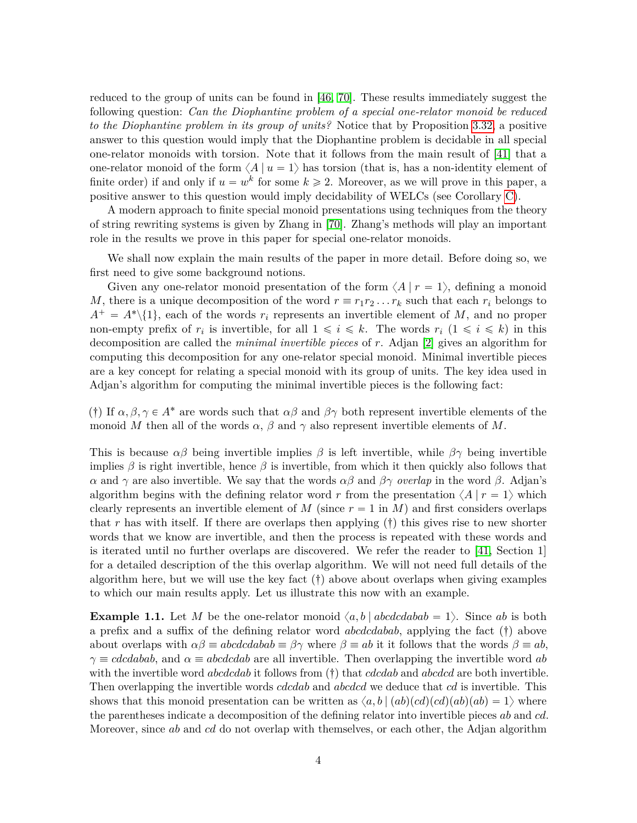reduced to the group of units can be found in [\[46,](#page-29-10) [70\]](#page-30-10). These results immediately suggest the following question: *Can the Diophantine problem of a special one-relator monoid be reduced to the Diophantine problem in its group of units?* Notice that by Proposition [3.32,](#page-23-0) a positive answer to this question would imply that the Diophantine problem is decidable in all special one-relator monoids with torsion. Note that it follows from the main result of [\[41\]](#page-29-11) that a one-relator monoid of the form  $\langle A | u = 1 \rangle$  has torsion (that is, has a non-identity element of finite order) if and only if  $u = w^k$  for some  $k \geq 2$ . Moreover, as we will prove in this paper, a positive answer to this question would imply decidability of WELCs (see Corollary [C\)](#page-5-0).

A modern approach to finite special monoid presentations using techniques from the theory of string rewriting systems is given by Zhang in [\[70\]](#page-30-10). Zhang's methods will play an important role in the results we prove in this paper for special one-relator monoids.

We shall now explain the main results of the paper in more detail. Before doing so, we first need to give some background notions.

Given any one-relator monoid presentation of the form  $\langle A | r = 1 \rangle$ , defining a monoid *M*, there is a unique decomposition of the word  $r \equiv r_1 r_2 \dots r_k$  such that each  $r_i$  belongs to  $A^+ = A^* \setminus \{1\}$ , each of the words  $r_i$  represents an invertible element of *M*, and no proper non-empty prefix of  $r_i$  is invertible, for all  $1 \leq i \leq k$ . The words  $r_i$   $(1 \leq i \leq k)$  in this decomposition are called the *minimal invertible pieces* of *r*. Adjan [\[2\]](#page-26-7) gives an algorithm for computing this decomposition for any one-relator special monoid. Minimal invertible pieces are a key concept for relating a special monoid with its group of units. The key idea used in Adjan's algorithm for computing the minimal invertible pieces is the following fact:

(†) If  $\alpha, \beta, \gamma \in A^*$  are words such that  $\alpha\beta$  and  $\beta\gamma$  both represent invertible elements of the monoid M then all of the words  $\alpha$ ,  $\beta$  and  $\gamma$  also represent invertible elements of M.

This is because  $\alpha\beta$  being invertible implies  $\beta$  is left invertible, while  $\beta\gamma$  being invertible implies  $\beta$  is right invertible, hence  $\beta$  is invertible, from which it then quickly also follows that *α* and *γ* are also invertible. We say that the words *αβ* and *βγ overlap* in the word *β*. Adjan's algorithm begins with the defining relator word r from the presentation  $\langle A | r = 1 \rangle$  which clearly represents an invertible element of *M* (since  $r = 1$  in *M*) and first considers overlaps that r has with itself. If there are overlaps then applying  $(\dagger)$  this gives rise to new shorter words that we know are invertible, and then the process is repeated with these words and is iterated until no further overlaps are discovered. We refer the reader to [\[41,](#page-29-11) Section 1] for a detailed description of the this overlap algorithm. We will not need full details of the algorithm here, but we will use the key fact  $(t)$  above about overlaps when giving examples to which our main results apply. Let us illustrate this now with an example.

<span id="page-3-0"></span>**Example 1.1.** Let *M* be the one-relator monoid  $\langle a, b | abcdcdab \rangle = 1$ . Since *ab* is both a prefix and a suffix of the defining relator word  $abcdabab$ , applying the fact  $(\dagger)$  above about overlaps with  $\alpha\beta \equiv abcdcdabab \equiv \beta\gamma$  where  $\beta \equiv ab$  it it follows that the words  $\beta \equiv ab$ ,  $\gamma \equiv c \cdot d \cdot d \cdot a$ , and  $\alpha \equiv a \cdot b \cdot d \cdot d \cdot a$  invertible. Then overlapping the invertible word *ab* with the invertible word *abcdcdab* it follows from  $(†)$  that *cdcdab* and *abcdcd* are both invertible. Then overlapping the invertible words *cdcdab* and *abcdcd* we deduce that *cd* is invertible. This shows that this monoid presentation can be written as  $\langle a, b | (ab)(cd)(ab)(ab) = 1 \rangle$  where the parentheses indicate a decomposition of the defining relator into invertible pieces *ab* and *cd*. Moreover, since *ab* and *cd* do not overlap with themselves, or each other, the Adjan algorithm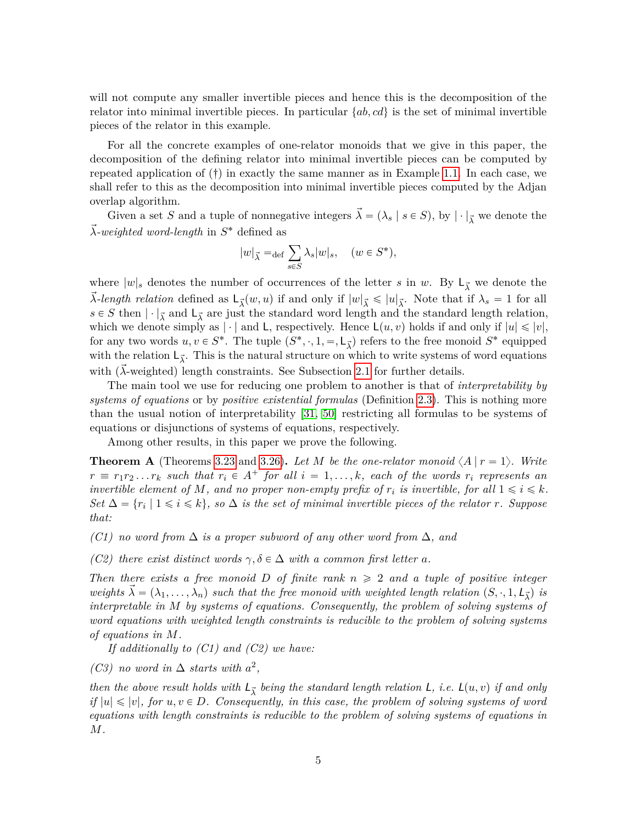will not compute any smaller invertible pieces and hence this is the decomposition of the relator into minimal invertible pieces. In particular  $\{ab, cd\}$  is the set of minimal invertible pieces of the relator in this example.

For all the concrete examples of one-relator monoids that we give in this paper, the decomposition of the defining relator into minimal invertible pieces can be computed by repeated application of  $(\dagger)$  in exactly the same manner as in Example [1.1.](#page-3-0) In each case, we shall refer to this as the decomposition into minimal invertible pieces computed by the Adjan overlap algorithm.

Given a set *S* and a tuple of nonnegative integers  $\vec{\lambda} = (\lambda_s | s \in S)$ , by  $|\cdot|_{\vec{\lambda}}$  we denote the *~λ-weighted word-length* in *S* ˚ defined as

$$
|w|_{\vec{\lambda}} = \det \sum_{s \in S} \lambda_s |w|_s, \quad (w \in S^*),
$$

where  $|w|_s$  denotes the number of occurrences of the letter *s* in *w*. By  $L_{\vec{\lambda}}$  we denote the  $\vec{\lambda}$ -length relation defined as  $\mathsf{L}_{\vec{\lambda}}(w, u)$  if and only if  $|w|_{\vec{\lambda}} \leq |u|_{\vec{\lambda}}$ . Note that if  $\lambda_s = 1$  for all  $s \in S$  then  $|\cdot|_{\vec{\lambda}}$  and  $\mathsf{L}_{\vec{\lambda}}$  are just the standard word length and the standard length relation, which we denote simply as  $|\cdot|$  and L, respectively. Hence  $\mathsf{L}(u, v)$  holds if and only if  $|u| \leq v|$ , for any two words  $u, v \in S^*$ . The tuple  $(S^*, \cdot, 1, =, \mathsf{L}_{\vec{\lambda}})$  refers to the free monoid  $S^*$  equipped with the relation  $L_{\vec{\lambda}}$ . This is the natural structure on which to write systems of word equations with  $(\lambda$ -weighted) length constraints. See Subsection [2.1](#page-6-0) for further details.

The main tool we use for reducing one problem to another is that of *interpretability by systems of equations* or by *positive existential formulas* (Definition [2.3\)](#page-9-0). This is nothing more than the usual notion of interpretability [\[31,](#page-28-6) [50\]](#page-29-12) restricting all formulas to be systems of equations or disjunctions of systems of equations, respectively.

Among other results, in this paper we prove the following.

<span id="page-4-0"></span>**Theorem A** (Theorems [3.23](#page-18-0) and [3.26\)](#page-19-0). Let M be the one-relator monoid  $\langle A | r = 1 \rangle$ . Write  $r \equiv r_1 r_2 \dots r_k$  *such that*  $r_i \in A^+$  *for all*  $i = 1, \dots, k$ *, each of the words*  $r_i$  *represents an invertible element of M, and no proper non-empty prefix of*  $r_i$  *is invertible, for all*  $1 \leq i \leq k$ *.*  $Set \Delta = \{r_i \mid 1 \leq i \leq k\}, so \Delta is the set of minimal invertible pieces of the relation r. Suppose$ *that:*

*(C1) no word from* ∆ *is a proper subword of any other word from* ∆*, and*

*(C2) there exist distinct words*  $\gamma, \delta \in \Delta$  *with a common first letter a.* 

*Then there exists a free monoid D of finite rank*  $n \geq 2$  *and a tuple of positive integer weights*  $\vec{\lambda} = (\lambda_1, \ldots, \lambda_n)$  *such that the free monoid with weighted length relation*  $(S, \cdot, 1, L_{\vec{\lambda}})$  *is interpretable in M by systems of equations. Consequently, the problem of solving systems of word equations with weighted length constraints is reducible to the problem of solving systems of equations in M.*

*If additionally to (C1) and (C2) we have:*

*(C3) no word in*  $\Delta$  *starts with*  $a^2$ ,

*then the above result holds with*  $L_{\vec{\lambda}}$  *being the standard length relation* L, *i.e.*  $L(u, v)$  *if and only if*  $|u| \leq v$ , for  $u, v \in D$ . Consequently, in this case, the problem of solving systems of word *equations with length constraints is reducible to the problem of solving systems of equations in M.*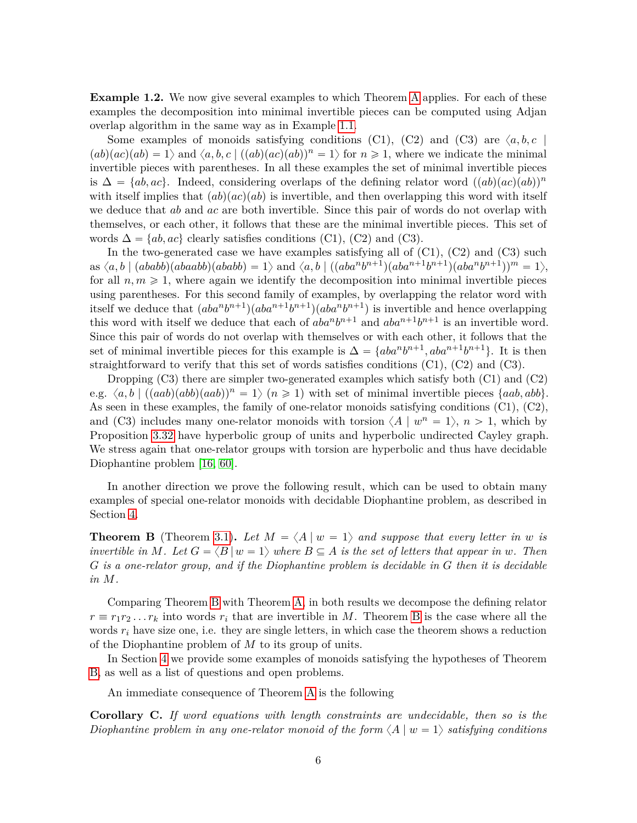<span id="page-5-2"></span>**Example 1.2.** We now give several examples to which Theorem [A](#page-4-0) applies. For each of these examples the decomposition into minimal invertible pieces can be computed using Adjan overlap algorithm in the same way as in Example [1.1.](#page-3-0)

Some examples of monoids satisfying conditions (C1), (C2) and (C3) are  $\langle a, b, c \rangle$  $p(ab)(ac)(ab) = 1$  and  $\langle a, b, c \mid ((ab)(ac)(ab))^n = 1$  for  $n \ge 1$ , where we indicate the minimal invertible pieces with parentheses. In all these examples the set of minimal invertible pieces is  $\Delta = \{ab, ac\}$ . Indeed, considering overlaps of the defining relator word  $((ab)(ac)(ab))^n$ with itself implies that  $(ab)(ac)(ab)$  is invertible, and then overlapping this word with itself we deduce that *ab* and *ac* are both invertible. Since this pair of words do not overlap with themselves, or each other, it follows that these are the minimal invertible pieces. This set of words  $\Delta = \{ab, ac\}$  clearly satisfies conditions (C1), (C2) and (C3).

In the two-generated case we have examples satisfying all of  $(C1)$ ,  $(C2)$  and  $(C3)$  such  $\text{as}~\langle a,b \mid (ababb)(abaab)(ababb) = 1 \rangle \text{ and } \langle a,b \mid ((aba^nb^{n+1})(aba^{n+1}b^{n+1})(aba^nb^{n+1}))^m = 1 \rangle,$ for all  $n, m \geq 1$ , where again we identify the decomposition into minimal invertible pieces using parentheses. For this second family of examples, by overlapping the relator word with itself we deduce that  $(aba^n b^{n+1})(aba^{n+1}b^{n+1})(aba^n b^{n+1})$  is invertible and hence overlapping this word with itself we deduce that each of  $aba^n b^{n+1}$  and  $aba^{n+1} b^{n+1}$  is an invertible word. Since this pair of words do not overlap with themselves or with each other, it follows that the set of minimal invertible pieces for this example is  $\Delta = \{aba^n b^{n+1}, aba^{n+1}b^{n+1}\}.$  It is then straightforward to verify that this set of words satisfies conditions  $(C1)$ ,  $(C2)$  and  $(C3)$ .

Dropping  $(C3)$  there are simpler two-generated examples which satisfy both  $(C1)$  and  $(C2)$ e.g.  $\langle a, b \mid ((aab)(abb)(aab))^n = 1 \rangle$  ( $n \ge 1$ ) with set of minimal invertible pieces  $\{aab, abb\}.$ As seen in these examples, the family of one-relator monoids satisfying conditions (C1), (C2), and (C3) includes many one-relator monoids with torsion  $\langle A | w^n = 1 \rangle$ ,  $n > 1$ , which by Proposition [3.32](#page-23-0) have hyperbolic group of units and hyperbolic undirected Cayley graph. We stress again that one-relator groups with torsion are hyperbolic and thus have decidable Diophantine problem [\[16,](#page-27-7) [60\]](#page-30-6).

In another direction we prove the following result, which can be used to obtain many examples of special one-relator monoids with decidable Diophantine problem, as described in Section [4.](#page-23-1)

<span id="page-5-1"></span>**Theorem B** (Theorem [3.1\)](#page-10-0). Let  $M = \langle A | w = 1 \rangle$  and suppose that every letter in *w* is *invertible in M*. Let  $G = \langle B | w = 1 \rangle$  *where*  $B \subseteq A$  *is the set of letters that appear in w*. Then *G is a one-relator group, and if the Diophantine problem is decidable in G then it is decidable in M.*

Comparing Theorem [B](#page-5-1) with Theorem [A,](#page-4-0) in both results we decompose the defining relator  $r \equiv r_1 r_2 \dots r_k$  into words  $r_i$  that are invertible in *M*. Theorem [B](#page-5-1) is the case where all the words  $r_i$  have size one, i.e. they are single letters, in which case the theorem shows a reduction of the Diophantine problem of *M* to its group of units.

In Section [4](#page-23-1) we provide some examples of monoids satisfying the hypotheses of Theorem [B,](#page-5-1) as well as a list of questions and open problems.

An immediate consequence of Theorem [A](#page-4-0) is the following

<span id="page-5-0"></span>**Corollary C.** *If word equations with length constraints are undecidable, then so is the Diophantine problem in any one-relator monoid of the form*  $\langle A | w = 1 \rangle$  *satisfying conditions*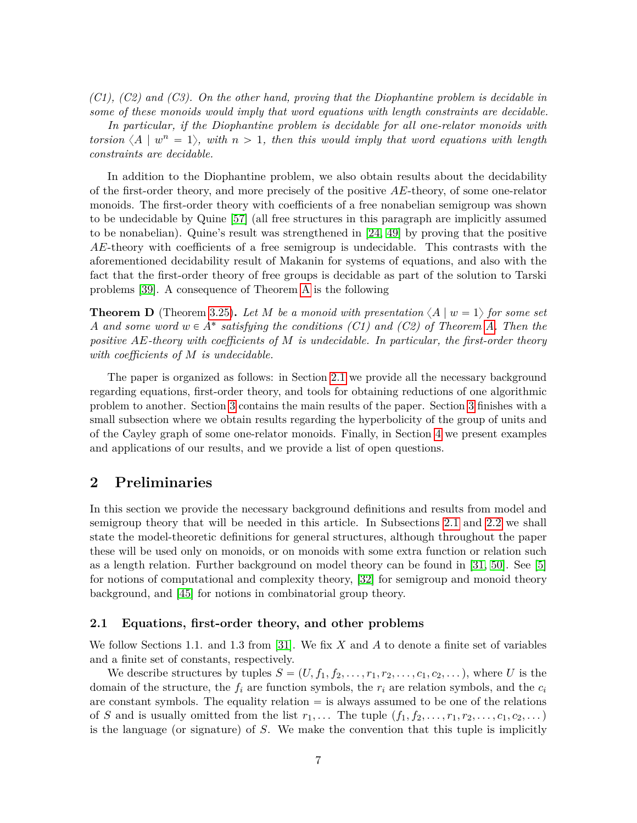*(C1), (C2) and (C3). On the other hand, proving that the Diophantine problem is decidable in some of these monoids would imply that word equations with length constraints are decidable.*

*In particular, if the Diophantine problem is decidable for all one-relator monoids with torsion*  $\langle A | w^n = 1 \rangle$ *, with*  $n > 1$ *, then this would imply that word equations with length constraints are decidable.*

In addition to the Diophantine problem, we also obtain results about the decidability of the first-order theory, and more precisely of the positive *AE*-theory, of some one-relator monoids. The first-order theory with coefficients of a free nonabelian semigroup was shown to be undecidable by Quine [\[57\]](#page-30-11) (all free structures in this paragraph are implicitly assumed to be nonabelian). Quine's result was strengthened in [\[24,](#page-27-13) [49\]](#page-29-13) by proving that the positive *AE*-theory with coefficients of a free semigroup is undecidable. This contrasts with the aforementioned decidability result of Makanin for systems of equations, and also with the fact that the first-order theory of free groups is decidable as part of the solution to Tarski problems [\[39\]](#page-28-3). A consequence of Theorem [A](#page-4-0) is the following

**Theorem D** (Theorem [3.25\)](#page-19-1). Let *M* be a monoid with presentation  $\langle A | w = 1 \rangle$  for some set *A* and some word  $w \in A^*$  satisfying the conditions (C1) and (C2) of Theorem [A.](#page-4-0) Then the *positive AE-theory with coefficients of M is undecidable. In particular, the first-order theory with coefficients of M is undecidable.*

The paper is organized as follows: in Section [2.1](#page-6-0) we provide all the necessary background regarding equations, first-order theory, and tools for obtaining reductions of one algorithmic problem to another. Section [3](#page-10-1) contains the main results of the paper. Section [3](#page-10-1) finishes with a small subsection where we obtain results regarding the hyperbolicity of the group of units and of the Cayley graph of some one-relator monoids. Finally, in Section [4](#page-23-1) we present examples and applications of our results, and we provide a list of open questions.

# **2 Preliminaries**

In this section we provide the necessary background definitions and results from model and semigroup theory that will be needed in this article. In Subsections [2.1](#page-6-0) and [2.2](#page-8-0) we shall state the model-theoretic definitions for general structures, although throughout the paper these will be used only on monoids, or on monoids with some extra function or relation such as a length relation. Further background on model theory can be found in [\[31,](#page-28-6) [50\]](#page-29-12). See [\[5\]](#page-26-8) for notions of computational and complexity theory, [\[32\]](#page-28-7) for semigroup and monoid theory background, and [\[45\]](#page-29-14) for notions in combinatorial group theory.

#### <span id="page-6-0"></span>**2.1 Equations, first-order theory, and other problems**

We follow Sections 1.1. and 1.3 from [\[31\]](#page-28-6). We fix *X* and *A* to denote a finite set of variables and a finite set of constants, respectively.

We describe structures by tuples  $S = (U, f_1, f_2, \ldots, r_1, r_2, \ldots, c_1, c_2, \ldots)$ , where *U* is the domain of the structure, the *f<sup>i</sup>* are function symbols, the *r<sup>i</sup>* are relation symbols, and the *c<sup>i</sup>* are constant symbols. The equality relation  $=$  is always assumed to be one of the relations of *S* and is usually omitted from the list  $r_1, \ldots$  The tuple  $(f_1, f_2, \ldots, r_1, r_2, \ldots, c_1, c_2, \ldots)$ is the language (or signature) of *S*. We make the convention that this tuple is implicitly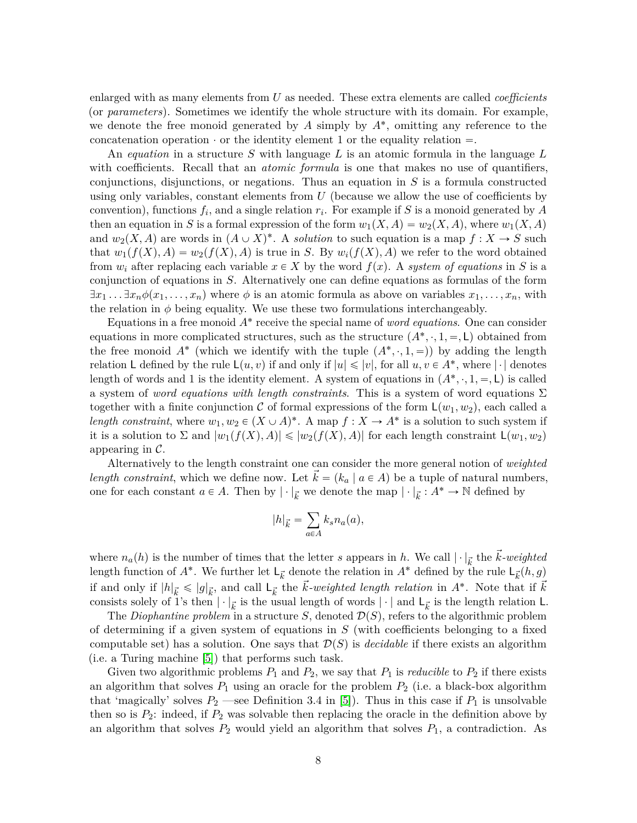enlarged with as many elements from *U* as needed. These extra elements are called *coefficients* (or *parameters*). Sometimes we identify the whole structure with its domain. For example, we denote the free monoid generated by  $A$  simply by  $A^*$ , omitting any reference to the concatenation operation  $\cdot$  or the identity element 1 or the equality relation  $=$ .

An *equation* in a structure *S* with language *L* is an atomic formula in the language *L* with coefficients. Recall that an *atomic formula* is one that makes no use of quantifiers, conjunctions, disjunctions, or negations. Thus an equation in *S* is a formula constructed using only variables, constant elements from *U* (because we allow the use of coefficients by convention), functions *f<sup>i</sup>* , and a single relation *r<sup>i</sup>* . For example if *S* is a monoid generated by *A* then an equation in *S* is a formal expression of the form  $w_1(X, A) = w_2(X, A)$ , where  $w_1(X, A)$ and  $w_2(X, A)$  are words in  $(A \cup X)^*$ . A *solution* to such equation is a map  $f : X \to S$  such that  $w_1(f(X), A) = w_2(f(X), A)$  is true in *S*. By  $w_i(f(X), A)$  we refer to the word obtained from  $w_i$  after replacing each variable  $x \in X$  by the word  $f(x)$ . A *system of equations* in *S* is a conjunction of equations in *S*. Alternatively one can define equations as formulas of the form  $\exists x_1 \dots \exists x_n \phi(x_1, \dots, x_n)$  where  $\phi$  is an atomic formula as above on variables  $x_1, \dots, x_n$ , with the relation in  $\phi$  being equality. We use these two formulations interchangeably.

Equations in a free monoid *A*˚ receive the special name of *word equations*. One can consider equations in more complicated structures, such as the structure  $(A^*, \cdot, 1, =, \mathsf{L})$  obtained from the free monoid  $A^*$  (which we identify with the tuple  $(A^*, \cdot, 1, =)$ ) by adding the length relation L defined by the rule  $L(u, v)$  if and only if  $|u| \leq v|$ , for all  $u, v \in A^*$ , where  $|\cdot|$  denotes length of words and 1 is the identity element. A system of equations in  $(A^*, \cdot, 1, =, \mathsf{L})$  is called a system of *word equations with length constraints*. This is a system of word equations Σ together with a finite conjunction C of formal expressions of the form  $\mathsf{L}(w_1, w_2)$ , each called a *length constraint*, where  $w_1, w_2 \in (X \cup A)^*$ . A map  $f : X \to A^*$  is a solution to such system if it is a solution to  $\Sigma$  and  $|w_1(f(X), A)| \leq |w_2(f(X), A)|$  for each length constraint  $L(w_1, w_2)$ appearing in  $\mathcal{C}$ .

Alternatively to the length constraint one can consider the more general notion of *weighted length constraint*, which we define now. Let  $k = (k_a | a \in A)$  be a tuple of natural numbers, one for each constant  $a \in A$ . Then by  $|\cdot|_{\vec{k}}$  we denote the map  $|\cdot|_{\vec{k}}: A^* \to \mathbb{N}$  defined by

$$
|h|_{\vec{k}} = \sum_{a \in A} k_s n_a(a),
$$

where  $n_a(h)$  is the number of times that the letter *s* appears in *h*. We call  $|\cdot|_{\vec{k}}$  the  $\vec{k}$ *-weighted* length function of  $A^*$ . We further let  $\mathsf{L}_{\vec{k}}$  denote the relation in  $A^*$  defined by the rule  $\mathsf{L}_{\vec{k}}(h, g)$ if and only if  $|h|_{\vec{k}} \leq |g|_{\vec{k}}$ , and call  $L_{\vec{k}}$  the  $\vec{k}$ *-weighted length relation* in  $A^*$ . Note that if  $\vec{k}$ consists solely of 1's then  $|\cdot|_{\vec{k}}$  is the usual length of words  $|\cdot|$  and  $\mathsf{L}_{\vec{k}}$  is the length relation **L**.

The *Diophantine problem* in a structure *S*, denoted  $\mathcal{D}(S)$ , refers to the algorithmic problem of determining if a given system of equations in *S* (with coefficients belonging to a fixed computable set) has a solution. One says that  $\mathcal{D}(S)$  is *decidable* if there exists an algorithm (i.e. a Turing machine [\[5\]](#page-26-8)) that performs such task.

Given two algorithmic problems  $P_1$  and  $P_2$ , we say that  $P_1$  is *reducible* to  $P_2$  if there exists an algorithm that solves  $P_1$  using an oracle for the problem  $P_2$  (i.e. a black-box algorithm that 'magically' solves  $P_2$  —see Definition 3.4 in [\[5\]](#page-26-8)). Thus in this case if  $P_1$  is unsolvable then so is  $P_2$ : indeed, if  $P_2$  was solvable then replacing the oracle in the definition above by an algorithm that solves  $P_2$  would yield an algorithm that solves  $P_1$ , a contradiction. As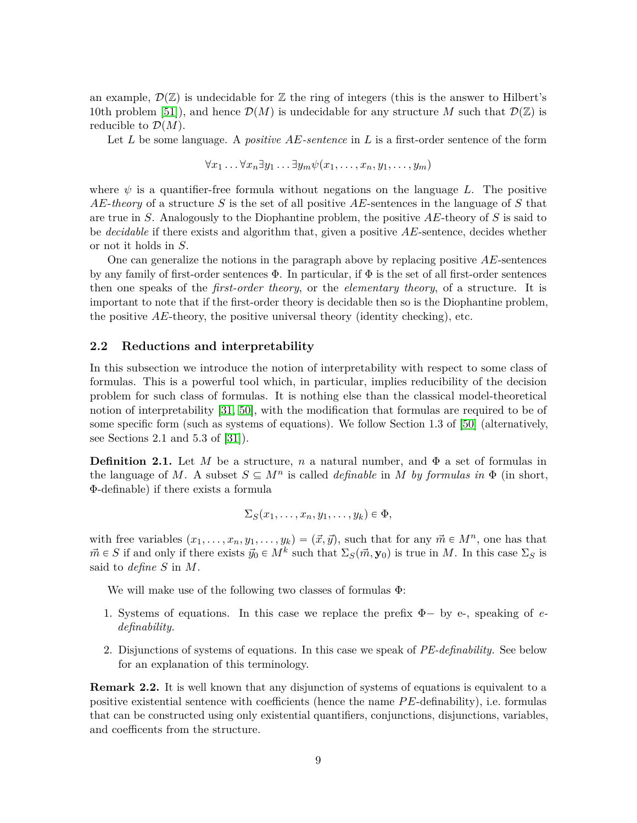an example,  $\mathcal{D}(\mathbb{Z})$  is undecidable for  $\mathbb Z$  the ring of integers (this is the answer to Hilbert's 10th problem [\[51\]](#page-29-6)), and hence  $\mathcal{D}(M)$  is undecidable for any structure M such that  $\mathcal{D}(\mathbb{Z})$  is reducible to  $\mathcal{D}(M)$ .

Let *L* be some language. A *positive AE-sentence* in *L* is a first-order sentence of the form

$$
\forall x_1 \ldots \forall x_n \exists y_1 \ldots \exists y_m \psi(x_1, \ldots, x_n, y_1, \ldots, y_m)
$$

where  $\psi$  is a quantifier-free formula without negations on the language L. The positive *AE*-*theory* of a structure *S* is the set of all positive *AE*-sentences in the language of *S* that are true in *S*. Analogously to the Diophantine problem, the positive *AE*-theory of *S* is said to be *decidable* if there exists and algorithm that, given a positive *AE*-sentence, decides whether or not it holds in *S*.

One can generalize the notions in the paragraph above by replacing positive *AE*-sentences by any family of first-order sentences  $\Phi$ . In particular, if  $\Phi$  is the set of all first-order sentences then one speaks of the *first-order theory*, or the *elementary theory*, of a structure. It is important to note that if the first-order theory is decidable then so is the Diophantine problem, the positive *AE*-theory, the positive universal theory (identity checking), etc.

#### <span id="page-8-0"></span>**2.2 Reductions and interpretability**

In this subsection we introduce the notion of interpretability with respect to some class of formulas. This is a powerful tool which, in particular, implies reducibility of the decision problem for such class of formulas. It is nothing else than the classical model-theoretical notion of interpretability [\[31,](#page-28-6) [50\]](#page-29-12), with the modification that formulas are required to be of some specific form (such as systems of equations). We follow Section 1.3 of [\[50\]](#page-29-12) (alternatively, see Sections 2.1 and 5.3 of [\[31\]](#page-28-6)).

**Definition 2.1.** Let *M* be a structure, *n* a natural number, and  $\Phi$  a set of formulas in the language of *M*. A subset  $S \subseteq M^n$  is called *definable* in *M* by formulas in  $\Phi$  (in short, Φ-definable) if there exists a formula

$$
\Sigma_S(x_1,\ldots,x_n,y_1,\ldots,y_k)\in\Phi,
$$

with free variables  $(x_1, \ldots, x_n, y_1, \ldots, y_k) = (\vec{x}, \vec{y})$ , such that for any  $\vec{m} \in M^n$ , one has that  $\vec{m} \in S$  if and only if there exists  $\vec{y}_0 \in M^k$  such that  $\Sigma_S(\vec{m}, \mathbf{y}_0)$  is true in *M*. In this case  $\Sigma_S$  is said to *define S* in *M*.

We will make use of the following two classes of formulas Φ:

- 1. Systems of equations. In this case we replace the prefix  $\Phi$  by e-, speaking of *edefinability.*
- 2. Disjunctions of systems of equations. In this case we speak of *PE-definability.* See below for an explanation of this terminology.

**Remark 2.2.** It is well known that any disjunction of systems of equations is equivalent to a positive existential sentence with coefficients (hence the name *P E*-definability), i.e. formulas that can be constructed using only existential quantifiers, conjunctions, disjunctions, variables, and coefficents from the structure.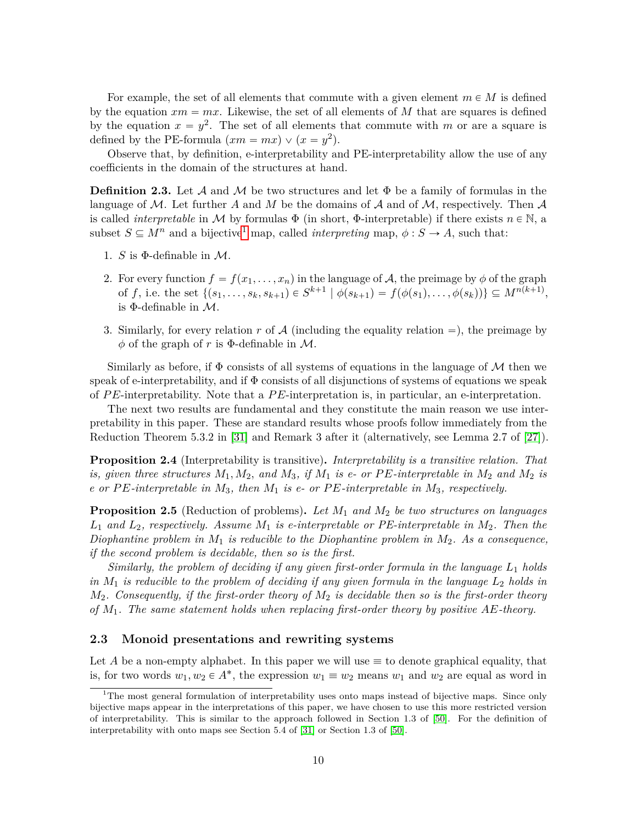For example, the set of all elements that commute with a given element  $m \in M$  is defined by the equation  $xm = mx$ . Likewise, the set of all elements of M that are squares is defined by the equation  $x = y^2$ . The set of all elements that commute with *m* or are a square is defined by the PE-formula  $(xm = mx) \vee (x = y^2)$ .

Observe that, by definition, e-interpretability and PE-interpretability allow the use of any coefficients in the domain of the structures at hand.

<span id="page-9-0"></span>**Definition 2.3.** Let A and M be two structures and let  $\Phi$  be a family of formulas in the language of  $M$ . Let further A and M be the domains of A and of M, respectively. Then A is called *interpretable* in M by formulas  $\Phi$  (in short,  $\Phi$ -interpretable) if there exists  $n \in \mathbb{N}$ , a subset  $S \subseteq M^n$  and a bijective<sup>[1](#page-9-1)</sup> map, called *interpreting* map,  $\phi : S \to A$ , such that:

- 1. *S* is  $\Phi$ -definable in *M*.
- 2. For every function  $f = f(x_1, \ldots, x_n)$  in the language of A, the preimage by  $\phi$  of the graph of f, i.e. the set  $\{(s_1,\ldots,s_k,s_{k+1})\in S^{k+1} \mid \phi(s_{k+1})=f(\phi(s_1),\ldots,\phi(s_k))\}\subseteq M^{n(k+1)},$ is  $\Phi$ -definable in  $\mathcal{M}$ .
- 3. Similarly, for every relation  $r$  of  $A$  (including the equality relation  $=$ ), the preimage by  $\phi$  of the graph of *r* is  $\Phi$ -definable in M.

Similarly as before, if  $\Phi$  consists of all systems of equations in the language of M then we speak of e-interpretability, and if  $\Phi$  consists of all disjunctions of systems of equations we speak of *P E*-interpretability. Note that a *P E*-interpretation is, in particular, an e-interpretation.

The next two results are fundamental and they constitute the main reason we use interpretability in this paper. These are standard results whose proofs follow immediately from the Reduction Theorem 5.3.2 in [\[31\]](#page-28-6) and Remark 3 after it (alternatively, see Lemma 2.7 of [\[27\]](#page-28-8)).

**Proposition 2.4** (Interpretability is transitive)**.** *Interpretability is a transitive relation. That is, given three structures*  $M_1, M_2$ *, and*  $M_3$ *, if*  $M_1$  *is e- or*  $PE\text{-}interpretable$  *in*  $M_2$  *and*  $M_2$  *is e or P E-interpretable in M*3*, then M*<sup>1</sup> *is e- or P E-interpretable in M*3*, respectively.*

<span id="page-9-2"></span>**Proposition 2.5** (Reduction of problems)**.** *Let M*<sup>1</sup> *and M*<sup>2</sup> *be two structures on languages L*<sup>1</sup> *and L*2*, respectively. Assume M*<sup>1</sup> *is e-interpretable or PE-interpretable in M*2*. Then the Diophantine problem in M*<sup>1</sup> *is reducible to the Diophantine problem in M*2*. As a consequence, if the second problem is decidable, then so is the first.*

*Similarly, the problem of deciding if any given first-order formula in the language L*<sup>1</sup> *holds in M*<sup>1</sup> *is reducible to the problem of deciding if any given formula in the language L*<sup>2</sup> *holds in M*2*. Consequently, if the first-order theory of M*<sup>2</sup> *is decidable then so is the first-order theory of M*1*. The same statement holds when replacing first-order theory by positive AE-theory.*

#### **2.3 Monoid presentations and rewriting systems**

Let A be a non-empty alphabet. In this paper we will use  $\equiv$  to denote graphical equality, that is, for two words  $w_1, w_2 \in A^*$ , the expression  $w_1 \equiv w_2$  means  $w_1$  and  $w_2$  are equal as word in

<span id="page-9-1"></span><sup>&</sup>lt;sup>1</sup>The most general formulation of interpretability uses onto maps instead of bijective maps. Since only bijective maps appear in the interpretations of this paper, we have chosen to use this more restricted version of interpretability. This is similar to the approach followed in Section 1.3 of [\[50\]](#page-29-12). For the definition of interpretability with onto maps see Section 5.4 of [\[31\]](#page-28-6) or Section 1.3 of [\[50\]](#page-29-12).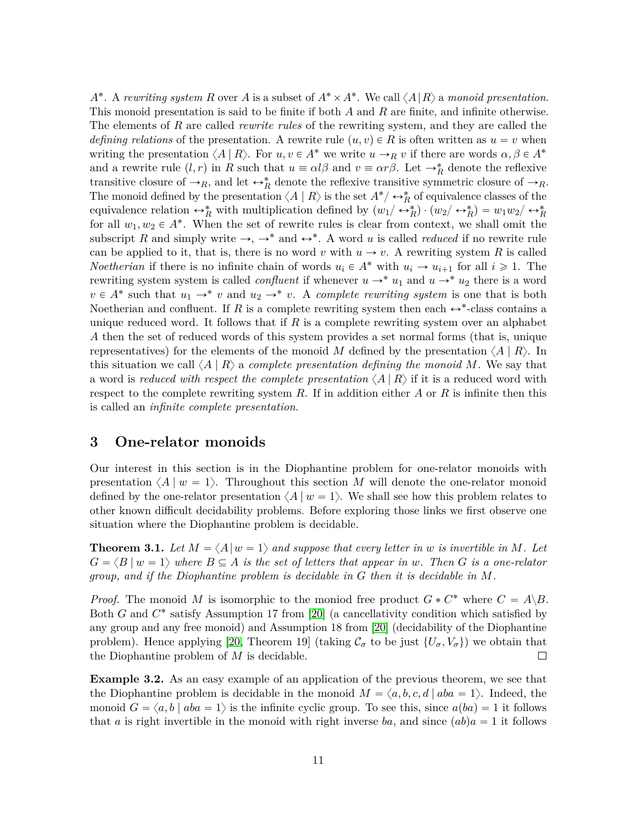*A*<sup>\*</sup>. A *rewriting system R* over *A* is a subset of  $A^* \times A^*$ . We call  $\langle A | R \rangle$  a *monoid presentation*. This monoid presentation is said to be finite if both *A* and *R* are finite, and infinite otherwise. The elements of *R* are called *rewrite rules* of the rewriting system, and they are called the *defining relations* of the presentation. A rewrite rule  $(u, v) \in R$  is often written as  $u = v$  when writing the presentation  $\langle A | R \rangle$ . For  $u, v \in A^*$  we write  $u \to_R v$  if there are words  $\alpha, \beta \in A^*$ and a rewrite rule  $(l, r)$  in *R* such that  $u \equiv \alpha l \beta$  and  $v \equiv \alpha r \beta$ . Let  $\rightarrow_R^*$  denote the reflexive transitive closure of  $\rightarrow_R$ , and let  $\leftrightarrow_R^*$  denote the reflexive transitive symmetric closure of  $\rightarrow_R$ . The monoid defined by the presentation  $\langle A | R \rangle$  is the set  $A^*/ \leftrightarrow_R^*$  of equivalence classes of the equivalence relation  $\leftrightarrow_R^*$  with multiplication defined by  $(w_1/\leftrightarrow_R^*) \cdot (w_2/\leftrightarrow_R^*) = w_1w_2/\leftrightarrow_R^*$ for all  $w_1, w_2 \in A^*$ . When the set of rewrite rules is clear from context, we shall omit the subscript R and simply write  $\rightarrow$ ,  $\rightarrow^*$  and  $\leftrightarrow^*$ . A word *u* is called *reduced* if no rewrite rule can be applied to it, that is, there is no word *v* with  $u \to v$ . A rewriting system *R* is called *Noetherian* if there is no infinite chain of words  $u_i \in A^*$  with  $u_i \to u_{i+1}$  for all  $i \geq 1$ . The rewriting system system is called *confluent* if whenever  $u \rightarrow^* u_1$  and  $u \rightarrow^* u_2$  there is a word  $v \in A^*$  such that  $u_1 \to^* v$  and  $u_2 \to^* v$ . A *complete rewriting system* is one that is both Noetherian and confluent. If  $R$  is a complete rewriting system then each  $\leftrightarrow^*$ -class contains a unique reduced word. It follows that if *R* is a complete rewriting system over an alphabet *A* then the set of reduced words of this system provides a set normal forms (that is, unique representatives) for the elements of the monoid *M* defined by the presentation  $\langle A | R \rangle$ . In this situation we call  $\langle A | R \rangle$  a *complete presentation defining the monoid M*. We say that a word is *reduced with respect the complete presentation*  $\langle A | R \rangle$  if it is a reduced word with respect to the complete rewriting system *R*. If in addition either *A* or *R* is infinite then this is called an *infinite complete presentation*.

# <span id="page-10-1"></span>**3 One-relator monoids**

Our interest in this section is in the Diophantine problem for one-relator monoids with presentation  $\langle A | w = 1 \rangle$ . Throughout this section *M* will denote the one-relator monoid defined by the one-relator presentation  $\langle A | w = 1 \rangle$ . We shall see how this problem relates to other known difficult decidability problems. Before exploring those links we first observe one situation where the Diophantine problem is decidable.

<span id="page-10-0"></span>**Theorem 3.1.** Let  $M = \langle A | w = 1 \rangle$  and suppose that every letter in w is invertible in M. Let  $G = \langle B | w = 1 \rangle$  where  $B \subseteq A$  is the set of letters that appear in *w*. Then G is a one-relator *group, and if the Diophantine problem is decidable in G then it is decidable in M.*

*Proof.* The monoid *M* is isomorphic to the moniod free product  $G * C^*$  where  $C = A \setminus B$ . Both *G* and  $C^*$  satisfy Assumption 17 from [\[20\]](#page-27-5) (a cancellativity condition which satisfied by any group and any free monoid) and Assumption 18 from [\[20\]](#page-27-5) (decidability of the Diophantine problem). Hence applying [\[20,](#page-27-5) Theorem 19] (taking  $\mathcal{C}_{\sigma}$  to be just  $\{U_{\sigma}, V_{\sigma}\}\)$  we obtain that the Diophantine problem of *M* is decidable.  $\Box$ 

<span id="page-10-2"></span>**Example 3.2.** As an easy example of an application of the previous theorem, we see that the Diophantine problem is decidable in the monoid  $M = \langle a, b, c, d | aba = 1 \rangle$ . Indeed, the monoid  $G = \langle a, b \mid aba = 1 \rangle$  is the infinite cyclic group. To see this, since  $a(ba) = 1$  it follows that *a* is right invertible in the monoid with right inverse *ba*, and since  $(ab)a = 1$  it follows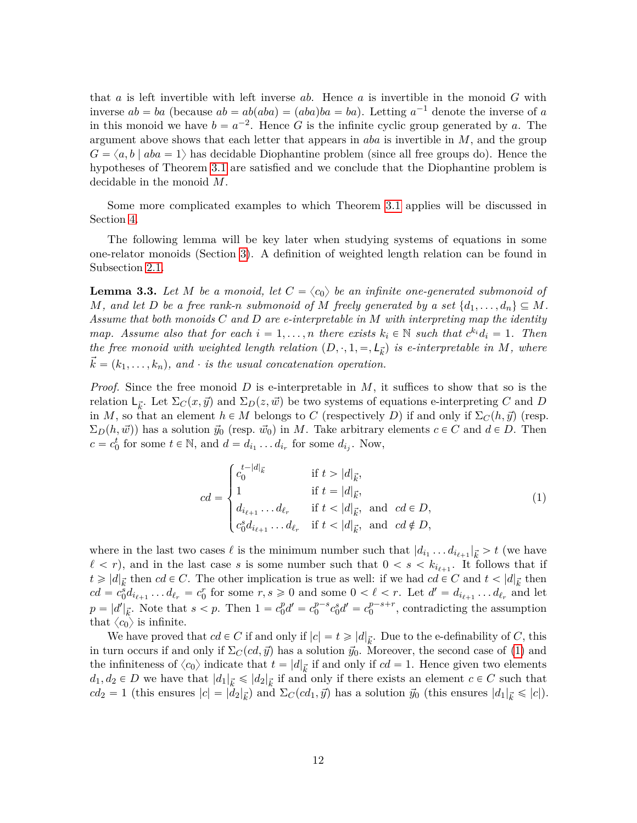that *a* is left invertible with left inverse *ab*. Hence *a* is invertible in the monoid *G* with inverse  $ab = ba$  (because  $ab = ab(aba) = (aba)ba = ba$ ). Letting  $a^{-1}$  denote the inverse of *a* in this monoid we have  $b = a^{-2}$ . Hence *G* is the infinite cyclic group generated by *a*. The argument above shows that each letter that appears in *aba* is invertible in *M*, and the group  $G = \langle a, b \mid aba = 1 \rangle$  has decidable Diophantine problem (since all free groups do). Hence the hypotheses of Theorem [3.1](#page-10-0) are satisfied and we conclude that the Diophantine problem is decidable in the monoid *M*.

Some more complicated examples to which Theorem [3.1](#page-10-0) applies will be discussed in Section [4.](#page-23-1)

The following lemma will be key later when studying systems of equations in some one-relator monoids (Section [3\)](#page-10-1). A definition of weighted length relation can be found in Subsection [2.1.](#page-6-0)

**Lemma 3.3.** Let *M* be a monoid, let  $C = \langle c_0 \rangle$  be an infinite one-generated submonoid of *M*, and let *D* be a free rank-*n* submonoid of *M* freely generated by a set  $\{d_1, \ldots, d_n\} \subseteq M$ . *Assume that both monoids C and D are e-interpretable in M with interpreting map the identity map.* Assume also that for each  $i = 1, ..., n$  there exists  $k_i \in \mathbb{N}$  such that  $c^{k_i}d_i = 1$ . Then *the free monoid with weighted length relation*  $(D, \cdot, 1, =, \mathcal{L}_{\vec{k}})$  *is e-interpretable in*  $M$ *, where*  $\vec{k} = (k_1, \ldots, k_n)$ , and  $\cdot$  *is the usual concatenation operation.* 

*Proof.* Since the free monoid *D* is e-interpretable in *M*, it suffices to show that so is the relation  $L_{\vec{k}}$ . Let  $\Sigma_C(x, \vec{y})$  and  $\Sigma_D(z, \vec{w})$  be two systems of equations e-interpreting *C* and *D* in *M*, so that an element  $h \in M$  belongs to *C* (respectively *D*) if and only if  $\Sigma_C(h, \vec{y})$  (resp.  $\Sigma_D(h, \vec{w})$  has a solution  $\vec{y}_0$  (resp.  $\vec{w}_0$ ) in *M*. Take arbitrary elements  $c \in C$  and  $d \in D$ . Then  $c = c_0^t$  for some  $t \in \mathbb{N}$ , and  $d = d_{i_1} \dots d_{i_r}$  for some  $d_{i_j}$ . Now,

<span id="page-11-0"></span>
$$
cd = \begin{cases} c_0^{t-|d|_{\vec{k}}} & \text{if } t > |d|_{\vec{k}}, \\ 1 & \text{if } t = |d|_{\vec{k}}, \\ d_{i_{\ell+1}} \dots d_{\ell_r} & \text{if } t < |d|_{\vec{k}}, \text{ and } cd \in D, \\ c_0^s d_{i_{\ell+1}} \dots d_{\ell_r} & \text{if } t < |d|_{\vec{k}}, \text{ and } cd \notin D, \end{cases} \tag{1}
$$

where in the last two cases  $\ell$  is the minimum number such that  $|d_{i_1} \dots d_{i_{\ell+1}}|_{\vec{k}} > t$  (we have  $\ell < r$ , and in the last case *s* is some number such that  $0 < s < k_{i_{\ell+1}}$ . It follows that if  $t \geq d_{\vec{k}}$  then *cd*  $\in$  *C*. The other implication is true as well: if we had *cd*  $\in$  *C* and  $t < |d|_{\vec{k}}$  then  $cd = c_0^s d_{i_{\ell+1}} \dots d_{\ell_r} = c_0^r$  for some  $r, s \ge 0$  and some  $0 < \ell < r$ . Let  $d' = d_{i_{\ell+1}} \dots d_{\ell_r}$  and let  $p = |d'|_{\vec{k}}$ . Note that  $s < p$ . Then  $1 = c_0^p$  ${}_{0}^{p}d' = c_{0}^{p-s}c_{0}^{s}d' = c_{0}^{p-s+r}$ , contradicting the assumption that  $\langle c_0 \rangle$  is infinite.

We have proved that  $cd \in C$  if and only if  $|c| = t \geq d|_{\vec{k}}$ . Due to the e-definability of *C*, this in turn occurs if and only if  $\Sigma_C(cd, \vec{y})$  has a solution  $\vec{y}_0$ . Moreover, the second case of [\(1\)](#page-11-0) and the infiniteness of  $\langle c_0 \rangle$  indicate that  $t = |d|_{\vec{k}}$  if and only if  $cd = 1$ . Hence given two elements  $d_1, d_2 \in D$  we have that  $|d_1|_{\vec{k}} \leq |d_2|_{\vec{k}}$  if and only if there exists an element  $c \in C$  such that  $cd_2 = 1$  (this ensures  $|c| = |d_2|_{\vec{k}}$ ) and  $\Sigma_C(cd_1, \vec{y})$  has a solution  $\vec{y}_0$  (this ensures  $|d_1|_{\vec{k}} \leq |c|$ ).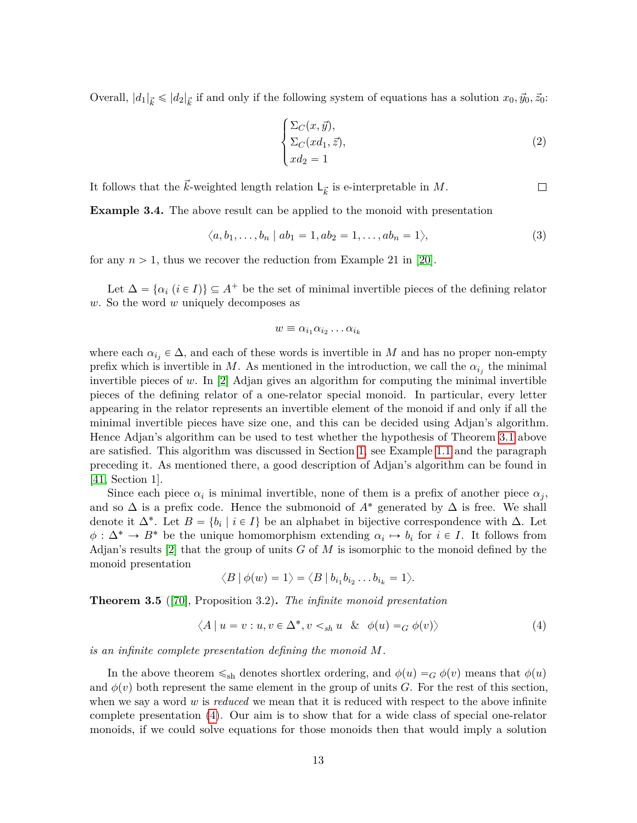Overall,  $|d_1|_{\vec{k}} \leq |d_2|_{\vec{k}}$  if and only if the following system of equations has a solution  $x_0, \vec{y}_0, \vec{z}_0$ :

$$
\begin{cases} \Sigma_C(x, \vec{y}), \\ \Sigma_C(xd_1, \vec{z}), \\ xd_2 = 1 \end{cases}
$$
 (2)

 $\Box$ 

It follows that the  $\vec{k}$ -weighted length relation  $\mathsf{L}_{\vec{k}}$  is e-interpretable in  $M$ .

<span id="page-12-2"></span>**Example 3.4.** The above result can be applied to the monoid with presentation

$$
\langle a, b_1, \ldots, b_n \mid ab_1 = 1, ab_2 = 1, \ldots, ab_n = 1 \rangle,
$$
\n
$$
(3)
$$

for any  $n > 1$ , thus we recover the reduction from Example 21 in [\[20\]](#page-27-5).

Let  $\Delta = {\alpha_i (i \in I)} \subseteq A^+$  be the set of minimal invertible pieces of the defining relator *w*. So the word *w* uniquely decomposes as

$$
w \equiv \alpha_{i_1} \alpha_{i_2} \dots \alpha_{i_k}
$$

where each  $\alpha_{i_j} \in \Delta$ , and each of these words is invertible in *M* and has no proper non-empty prefix which is invertible in *M*. As mentioned in the introduction, we call the  $\alpha_{i_j}$  the minimal invertible pieces of *w*. In [\[2\]](#page-26-7) Adjan gives an algorithm for computing the minimal invertible pieces of the defining relator of a one-relator special monoid. In particular, every letter appearing in the relator represents an invertible element of the monoid if and only if all the minimal invertible pieces have size one, and this can be decided using Adjan's algorithm. Hence Adjan's algorithm can be used to test whether the hypothesis of Theorem [3.1](#page-10-0) above are satisfied. This algorithm was discussed in Section [1,](#page-0-0) see Example [1.1](#page-3-0) and the paragraph preceding it. As mentioned there, a good description of Adjan's algorithm can be found in [\[41,](#page-29-11) Section 1].

Since each piece  $\alpha_i$  is minimal invertible, none of them is a prefix of another piece  $\alpha_j$ , and so  $\Delta$  is a prefix code. Hence the submonoid of  $A^*$  generated by  $\Delta$  is free. We shall denote it  $\Delta^*$ . Let  $B = \{b_i \mid i \in I\}$  be an alphabet in bijective correspondence with  $\Delta$ . Let  $\phi: \Delta^* \to B^*$  be the unique homomorphism extending  $\alpha_i \mapsto b_i$  for  $i \in I$ . It follows from Adjan's results [\[2\]](#page-26-7) that the group of units *G* of *M* is isomorphic to the monoid defined by the monoid presentation

$$
\langle B | \phi(w) = 1 \rangle = \langle B | b_{i_1} b_{i_2} \dots b_{i_k} = 1 \rangle.
$$

<span id="page-12-1"></span>**Theorem 3.5** ([\[70\]](#page-30-10), Proposition 3.2)**.** *The infinite monoid presentation*

<span id="page-12-0"></span>
$$
\langle A \mid u = v : u, v \in \Delta^*, v <_{sh} u \& \phi(u) =_G \phi(v) \rangle \tag{4}
$$

*is an infinite complete presentation defining the monoid M.*

In the above theorem  $\leq_{\text{sh}}$  denotes shortlex ordering, and  $\phi(u) = G \phi(v)$  means that  $\phi(u)$ and  $\phi(v)$  both represent the same element in the group of units *G*. For the rest of this section, when we say a word *w* is *reduced* we mean that it is reduced with respect to the above infinite complete presentation [\(4\)](#page-12-0). Our aim is to show that for a wide class of special one-relator monoids, if we could solve equations for those monoids then that would imply a solution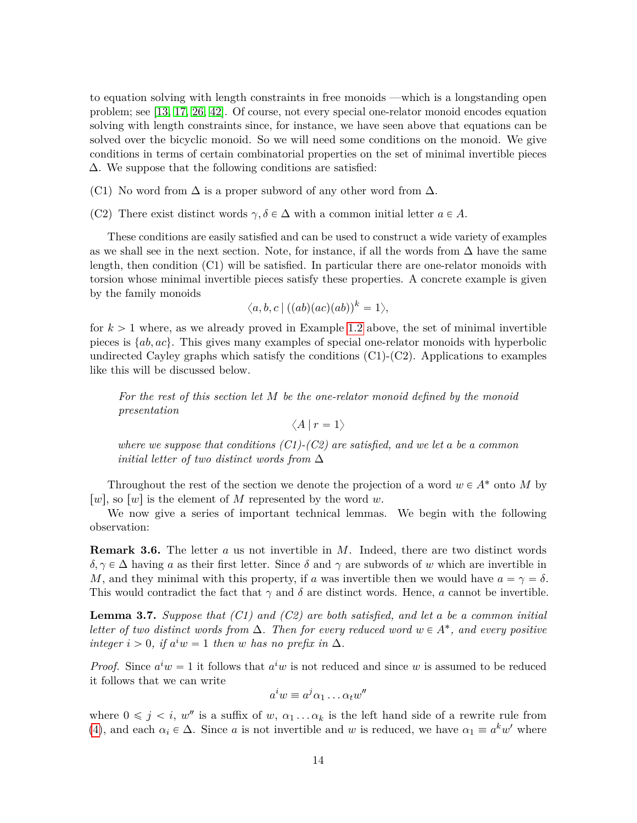to equation solving with length constraints in free monoids —which is a longstanding open problem; see [\[13,](#page-27-8) [17,](#page-27-9) [26,](#page-27-10) [42\]](#page-29-4). Of course, not every special one-relator monoid encodes equation solving with length constraints since, for instance, we have seen above that equations can be solved over the bicyclic monoid. So we will need some conditions on the monoid. We give conditions in terms of certain combinatorial properties on the set of minimal invertible pieces ∆. We suppose that the following conditions are satisfied:

(C1) No word from  $\Delta$  is a proper subword of any other word from  $\Delta$ .

(C2) There exist distinct words  $\gamma, \delta \in \Delta$  with a common initial letter  $a \in A$ .

These conditions are easily satisfied and can be used to construct a wide variety of examples as we shall see in the next section. Note, for instance, if all the words from  $\Delta$  have the same length, then condition (C1) will be satisfied. In particular there are one-relator monoids with torsion whose minimal invertible pieces satisfy these properties. A concrete example is given by the family monoids

$$
\langle a,b,c \,|\, ((ab)(ac)(ab))^k=1\rangle,
$$

for  $k > 1$  where, as we already proved in Example [1.2](#page-5-2) above, the set of minimal invertible pieces is  $\{ab, ac\}$ . This gives many examples of special one-relator monoids with hyperbolic undirected Cayley graphs which satisfy the conditions  $(C1)-(C2)$ . Applications to examples like this will be discussed below.

*For the rest of this section let M be the one-relator monoid defined by the monoid presentation*

$$
\left\langle A \, | \, r = 1 \right\rangle
$$

*where we suppose that conditions (C1)-(C2) are satisfied, and we let a be a common initial letter of two distinct words from* ∆

Throughout the rest of the section we denote the projection of a word  $w \in A^*$  onto *M* by  $[w]$ , so  $[w]$  is the element of *M* represented by the word *w*.

We now give a series of important technical lemmas. We begin with the following observation:

<span id="page-13-0"></span>**Remark 3.6.** The letter *a* us not invertible in *M*. Indeed, there are two distinct words *δ*,  $\gamma \in \Delta$  having *a* as their first letter. Since *δ* and  $\gamma$  are subwords of *w* which are invertible in *M*, and they minimal with this property, if *a* was invertible then we would have  $a = \gamma = \delta$ . This would contradict the fact that  $\gamma$  and  $\delta$  are distinct words. Hence, *a* cannot be invertible.

<span id="page-13-1"></span>**Lemma 3.7.** *Suppose that (C1) and (C2) are both satisfied, and let a be a common initial letter of two distinct words from*  $\Delta$ *. Then for every reduced word*  $w \in A^*$ *, and every positive*  $\int$ *integer*  $i > 0$ , *if*  $a^i w = 1$  *then w has no prefix in*  $\Delta$ *.* 

*Proof.* Since  $a^i w = 1$  it follows that  $a^i w$  is not reduced and since *w* is assumed to be reduced it follows that we can write

$$
a^iw \equiv a^j \alpha_1 \dots \alpha_t w''
$$

where  $0 \leq j \leq i$ ,  $w''$  is a suffix of  $w, \alpha_1 \ldots \alpha_k$  is the left hand side of a rewrite rule from [\(4\)](#page-12-0), and each  $\alpha_i \in \Delta$ . Since *a* is not invertible and *w* is reduced, we have  $\alpha_1 \equiv a^k w'$  where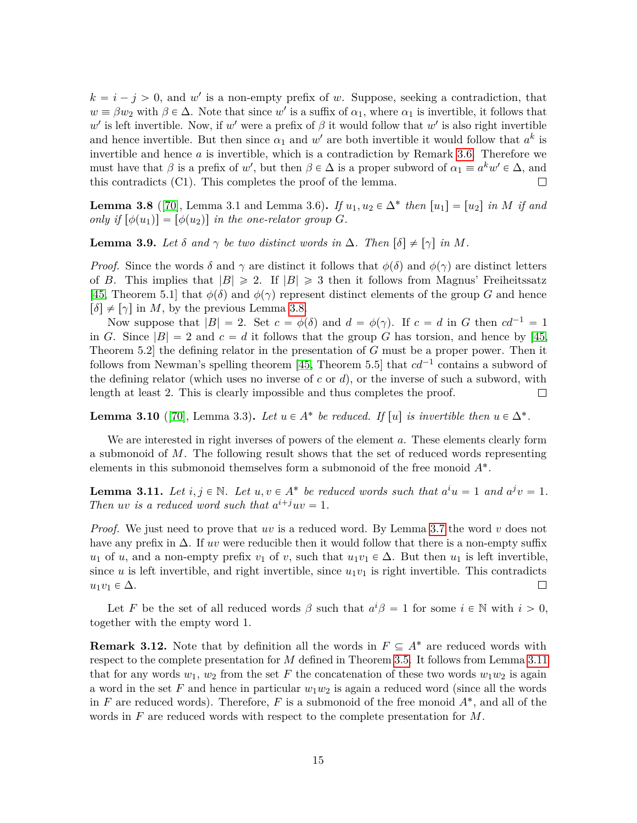$k = i - j > 0$ , and w' is a non-empty prefix of w. Suppose, seeking a contradiction, that  $w \equiv \beta w_2$  with  $\beta \in \Delta$ . Note that since *w*' is a suffix of  $\alpha_1$ , where  $\alpha_1$  is invertible, it follows that  $w'$  is left invertible. Now, if  $w'$  were a prefix of  $\beta$  it would follow that  $w'$  is also right invertible and hence invertible. But then since  $\alpha_1$  and  $w'$  are both invertible it would follow that  $a^k$  is invertible and hence *a* is invertible, which is a contradiction by Remark [3.6.](#page-13-0) Therefore we must have that *β* is a prefix of *w'*, but then  $\beta \in \Delta$  is a proper subword of  $\alpha_1 \equiv a^k w' \in \Delta$ , and this contradicts (C1). This completes the proof of the lemma.  $\Box$ 

<span id="page-14-0"></span>**Lemma 3.8** ([\[70\]](#page-30-10), Lemma 3.1 and Lemma 3.6). *If*  $u_1, u_2 \in \Delta^*$  *then*  $[u_1] = [u_2]$  *in M if and only if*  $\lbrack \phi(u_1) \rbrack = \lbrack \phi(u_2) \rbrack$  *in the one-relator group G.* 

<span id="page-14-3"></span>**Lemma 3.9.** *Let*  $\delta$  *and*  $\gamma$  *be two distinct words in*  $\Delta$ *. Then*  $[\delta] \neq [\gamma]$  *in M.* 

*Proof.* Since the words  $\delta$  and  $\gamma$  are distinct it follows that  $\phi(\delta)$  and  $\phi(\gamma)$  are distinct letters of *B*. This implies that  $|B| \ge 2$ . If  $|B| \ge 3$  then it follows from Magnus' Freiheitssatz [\[45,](#page-29-14) Theorem 5.1] that  $\phi(\delta)$  and  $\phi(\gamma)$  represent distinct elements of the group *G* and hence  $\lceil \delta \rceil \neq \lceil \gamma \rceil$  in *M*, by the previous Lemma [3.8.](#page-14-0)

Now suppose that  $|B| = 2$ . Set  $c = \phi(\delta)$  and  $d = \phi(\gamma)$ . If  $c = d$  in G then  $cd^{-1} = 1$ in *G*. Since  $|B| = 2$  and  $c = d$  it follows that the group *G* has torsion, and hence by [\[45,](#page-29-14) Theorem 5.2] the defining relator in the presentation of *G* must be a proper power. Then it follows from Newman's spelling theorem [\[45,](#page-29-14) Theorem 5.5] that  $cd^{-1}$  contains a subword of the defining relator (which uses no inverse of *c* or *d*), or the inverse of such a subword, with length at least 2. This is clearly impossible and thus completes the proof.  $\Box$ 

<span id="page-14-2"></span>**Lemma 3.10** ([\[70\]](#page-30-10), Lemma 3.3). Let  $u \in A^*$  be reduced. If  $[u]$  is invertible then  $u \in \Delta^*$ .

We are interested in right inverses of powers of the element *a*. These elements clearly form a submonoid of *M*. The following result shows that the set of reduced words representing elements in this submonoid themselves form a submonoid of the free monoid *A*˚ .

<span id="page-14-1"></span>**Lemma 3.11.** Let  $i, j \in \mathbb{N}$ . Let  $u, v \in A^*$  be reduced words such that  $a^i u = 1$  and  $a^j v = 1$ . *Then uv is a reduced word such that*  $a^{i+j}uv = 1$ *.* 

*Proof.* We just need to prove that *uv* is a reduced word. By Lemma [3.7](#page-13-1) the word *v* does not have any prefix in ∆. If *uv* were reducible then it would follow that there is a non-empty suffix *u*<sub>1</sub> of *u*, and a non-empty prefix *v*<sub>1</sub> of *v*, such that  $u_1v_1 \in \Delta$ . But then *u*<sub>1</sub> is left invertible, since  $u$  is left invertible, and right invertible, since  $u_1v_1$  is right invertible. This contradicts  $u_1v_1 \in \Delta$ .  $\Box$ 

Let *F* be the set of all reduced words  $\beta$  such that  $a^i\beta = 1$  for some  $i \in \mathbb{N}$  with  $i > 0$ , together with the empty word 1.

<span id="page-14-4"></span>**Remark 3.12.** Note that by definition all the words in  $F \subseteq A^*$  are reduced words with respect to the complete presentation for *M* defined in Theorem [3.5.](#page-12-1) It follows from Lemma [3.11](#page-14-1) that for any words  $w_1, w_2$  from the set F the concatenation of these two words  $w_1w_2$  is again a word in the set  $F$  and hence in particular  $w_1w_2$  is again a reduced word (since all the words in  $F$  are reduced words). Therefore,  $F$  is a submonoid of the free monoid  $A^*$ , and all of the words in *F* are reduced words with respect to the complete presentation for *M*.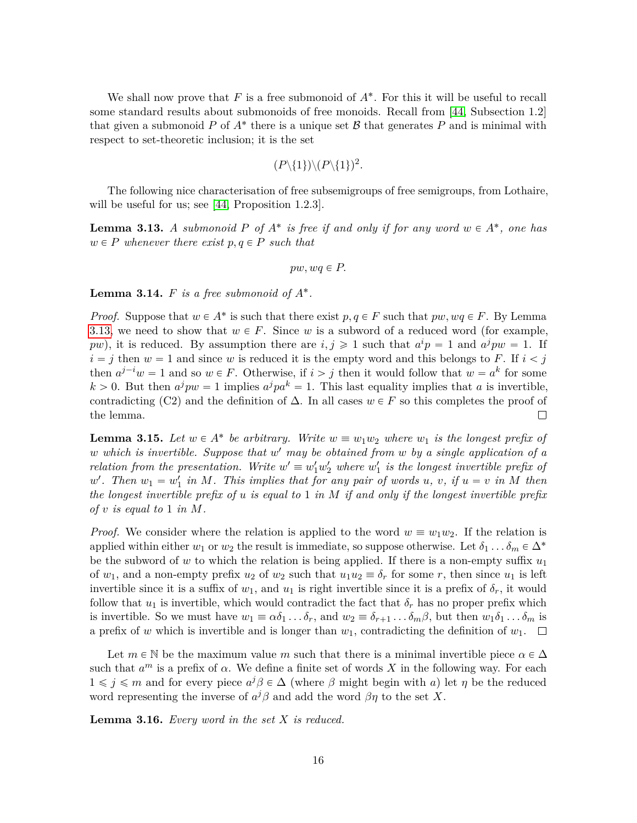We shall now prove that  $F$  is a free submonoid of  $A^*$ . For this it will be useful to recall some standard results about submonoids of free monoids. Recall from [\[44,](#page-29-15) Subsection 1.2] that given a submonoid  $P$  of  $A^*$  there is a unique set  $B$  that generates  $P$  and is minimal with respect to set-theoretic inclusion; it is the set

$$
(P \setminus \{1\}) \setminus (P \setminus \{1\})^2.
$$

The following nice characterisation of free subsemigroups of free semigroups, from Lothaire, will be useful for us; see [\[44,](#page-29-15) Proposition 1.2.3].

<span id="page-15-0"></span>**Lemma 3.13.** *A submonoid*  $P$  *of*  $A^*$  *is free if and only if for any word*  $w \in A^*$ *, one has*  $w \in P$  *whenever there exist*  $p, q \in P$  *such that* 

$$
pw, wq \in P.
$$

**Lemma 3.14.**  $F$  is a free submonoid of  $A^*$ .

*Proof.* Suppose that  $w \in A^*$  is such that there exist  $p, q \in F$  such that  $pw, wq \in F$ . By Lemma [3.13,](#page-15-0) we need to show that  $w \in F$ . Since *w* is a subword of a reduced word (for example, *pw*), it is reduced. By assumption there are  $i, j \geq 1$  such that  $a^i p = 1$  and  $a^j p w = 1$ . If  $i = j$  then  $w = 1$  and since *w* is reduced it is the empty word and this belongs to *F*. If  $i < j$ then  $a^{j-i}w = 1$  and so  $w \in F$ . Otherwise, if  $i > j$  then it would follow that  $w = a^k$  for some  $k > 0$ . But then  $a^j p w = 1$  implies  $a^j p a^k = 1$ . This last equality implies that *a* is invertible, contradicting (C2) and the definition of  $\Delta$ . In all cases  $w \in F$  so this completes the proof of the lemma.  $\Box$ 

<span id="page-15-1"></span>**Lemma 3.15.** Let  $w \in A^*$  be arbitrary. Write  $w \equiv w_1w_2$  where  $w_1$  is the longest prefix of *w which is invertible. Suppose that w* <sup>1</sup> *may be obtained from w by a single application of a relation from the presentation. Write*  $w' \equiv w'_1 w'_2$  where  $w'_1$  is the longest invertible prefix of  $w'$ . Then  $w_1 = w'_1$  in M. This implies that for any pair of words  $u, v, if u = v$  in M then *the longest invertible prefix of u is equal to* 1 *in M if and only if the longest invertible prefix of v is equal to* 1 *in M.*

*Proof.* We consider where the relation is applied to the word  $w \equiv w_1 w_2$ . If the relation is applied within either  $w_1$  or  $w_2$  the result is immediate, so suppose otherwise. Let  $\delta_1 \dots \delta_m \in \Delta^*$ be the subword of *w* to which the relation is being applied. If there is a non-empty suffix *u*<sup>1</sup> of  $w_1$ , and a non-empty prefix  $u_2$  of  $w_2$  such that  $u_1u_2 \equiv \delta_r$  for some *r*, then since  $u_1$  is left invertible since it is a suffix of  $w_1$ , and  $u_1$  is right invertible since it is a prefix of  $\delta_r$ , it would follow that  $u_1$  is invertible, which would contradict the fact that  $\delta_r$  has no proper prefix which is invertible. So we must have  $w_1 \equiv \alpha \delta_1 \dots \delta_r$ , and  $w_2 \equiv \delta_{r+1} \dots \delta_m \beta$ , but then  $w_1 \delta_1 \dots \delta_m$  is a prefix of *w* which is invertible and is longer than  $w_1$ , contradicting the definition of  $w_1$ .  $\Box$ 

Let  $m \in \mathbb{N}$  be the maximum value  $m$  such that there is a minimal invertible piece  $\alpha \in \Delta$ such that  $a^m$  is a prefix of  $\alpha$ . We define a finite set of words X in the following way. For each  $1 ≤ j ≤ m$  and for every piece  $a<sup>j</sup>β ∈ Δ$  (where *β* might begin with *a*) let *η* be the reduced word representing the inverse of  $a^j\beta$  and add the word  $\beta\eta$  to the set X.

**Lemma 3.16.** *Every word in the set X is reduced.*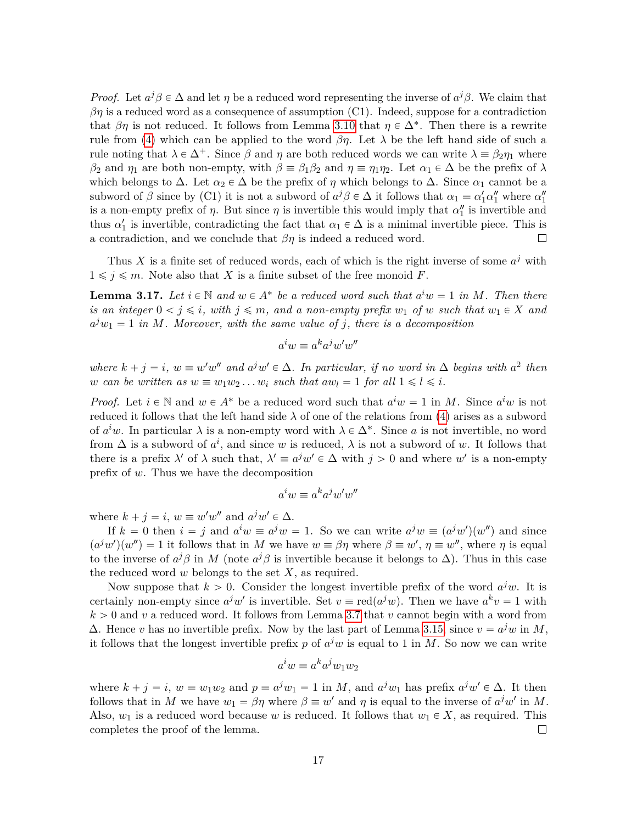*Proof.* Let  $a^j\beta \in \Delta$  and let *η* be a reduced word representing the inverse of  $a^j\beta$ . We claim that  $\beta$ *η* is a reduced word as a consequence of assumption (C1). Indeed, suppose for a contradiction that  $\beta\eta$  is not reduced. It follows from Lemma [3.10](#page-14-2) that  $\eta \in \Delta^*$ . Then there is a rewrite rule from [\(4\)](#page-12-0) which can be applied to the word  $\beta\eta$ . Let  $\lambda$  be the left hand side of such a rule noting that  $\lambda \in \Delta^+$ . Since  $\beta$  and  $\eta$  are both reduced words we can write  $\lambda \equiv \beta_2 \eta_1$  where *β*<sub>2</sub> and  $\eta_1$  are both non-empty, with  $\beta \equiv \beta_1 \beta_2$  and  $\eta \equiv \eta_1 \eta_2$ . Let  $\alpha_1 \in \Delta$  be the prefix of  $\lambda$ which belongs to  $\Delta$ . Let  $\alpha_2 \in \Delta$  be the prefix of  $\eta$  which belongs to  $\Delta$ . Since  $\alpha_1$  cannot be a subword of  $\beta$  since by (C1) it is not a subword of  $a^j \beta \in \Delta$  it follows that  $\alpha_1 \equiv \alpha'_1 \alpha''_1$  where  $\alpha''_1$ is a non-empty prefix of  $\eta$ . But since  $\eta$  is invertible this would imply that  $\alpha''_1$  is invertible and thus  $\alpha'_1$  is invertible, contradicting the fact that  $\alpha_1 \in \Delta$  is a minimal invertible piece. This is a contradiction, and we conclude that  $\beta\eta$  is indeed a reduced word.  $\Box$ 

Thus X is a finite set of reduced words, each of which is the right inverse of some  $a^j$  with  $1 \leq j \leq m$ . Note also that *X* is a finite subset of the free monoid *F*.

<span id="page-16-0"></span>**Lemma 3.17.** Let  $i \in \mathbb{N}$  and  $w \in A^*$  be a reduced word such that  $a^i w = 1$  in M. Then there *is an integer*  $0 < j \leq i$ *, with*  $j \leq m$ *, and a non-empty prefix*  $w_1$  *of*  $w$  *such that*  $w_1 \in X$  *and*  $a^j w_1 = 1$  *in M. Moreover, with the same value of j, there is a decomposition* 

$$
a^iw \equiv a^ka^jw'w''
$$

*where*  $k + j = i$ ,  $w \equiv w'w''$  and  $a^jw' \in \Delta$ . In particular, if no word in  $\Delta$  begins with  $a^2$  then *w can be written as*  $w \equiv w_1 w_2 \dots w_i$  *such that*  $aw_l = 1$  *for all*  $1 \leq l \leq i$ *.* 

*Proof.* Let  $i \in \mathbb{N}$  and  $w \in A^*$  be a reduced word such that  $a^i w = 1$  in *M*. Since  $a^i w$  is not reduced it follows that the left hand side  $\lambda$  of one of the relations from [\(4\)](#page-12-0) arises as a subword of  $a^i w$ . In particular  $\lambda$  is a non-empty word with  $\lambda \in \Delta^*$ . Since a is not invertible, no word from  $\Delta$  is a subword of  $a^i$ , and since *w* is reduced,  $\lambda$  is not a subword of *w*. It follows that there is a prefix  $\lambda'$  of  $\lambda$  such that,  $\lambda' \equiv a^j w' \in \Delta$  with  $j > 0$  and where  $w'$  is a non-empty prefix of *w*. Thus we have the decomposition

$$
a^iw \equiv a^ka^jw'w''
$$

where  $k + j = i$ ,  $w \equiv w'w''$  and  $a^jw' \in \Delta$ .

If  $k = 0$  then  $i = j$  and  $a^i w \equiv a^j w = 1$ . So we can write  $a^j w \equiv (a^j w')(w'')$  and since  $(a^j w')(w'') = 1$  it follows that in *M* we have  $w \equiv \beta \eta$  where  $\beta \equiv w'$ ,  $\eta \equiv w''$ , where  $\eta$  is equal to the inverse of  $a^j\beta$  in *M* (note  $a^j\beta$  is invertible because it belongs to  $\Delta$ ). Thus in this case the reduced word *w* belongs to the set *X*, as required.

Now suppose that  $k > 0$ . Consider the longest invertible prefix of the word  $a^jw$ . It is certainly non-empty since  $a^jw'$  is invertible. Set  $v \equiv \text{red}(a^jw)$ . Then we have  $a^kv = 1$  with  $k > 0$  and *v* a reduced word. It follows from Lemma [3.7](#page-13-1) that *v* cannot begin with a word from  $Δ$ . Hence *v* has no invertible prefix. Now by the last part of Lemma [3.15,](#page-15-1) since  $v = a<sup>j</sup>w$  in *M*, it follows that the longest invertible prefix  $p$  of  $a^jw$  is equal to 1 in  $M$ . So now we can write

$$
a^iw \equiv a^ka^jw_1w_2
$$

where  $k + j = i$ ,  $w \equiv w_1 w_2$  and  $p \equiv a^j w_1 = 1$  in *M*, and  $a^j w_1$  has prefix  $a^j w' \in \Delta$ . It then follows that in *M* we have  $w_1 = \beta \eta$  where  $\beta \equiv w'$  and  $\eta$  is equal to the inverse of  $a^jw'$  in *M*. Also,  $w_1$  is a reduced word because *w* is reduced. It follows that  $w_1 \in X$ , as required. This completes the proof of the lemma.  $\Box$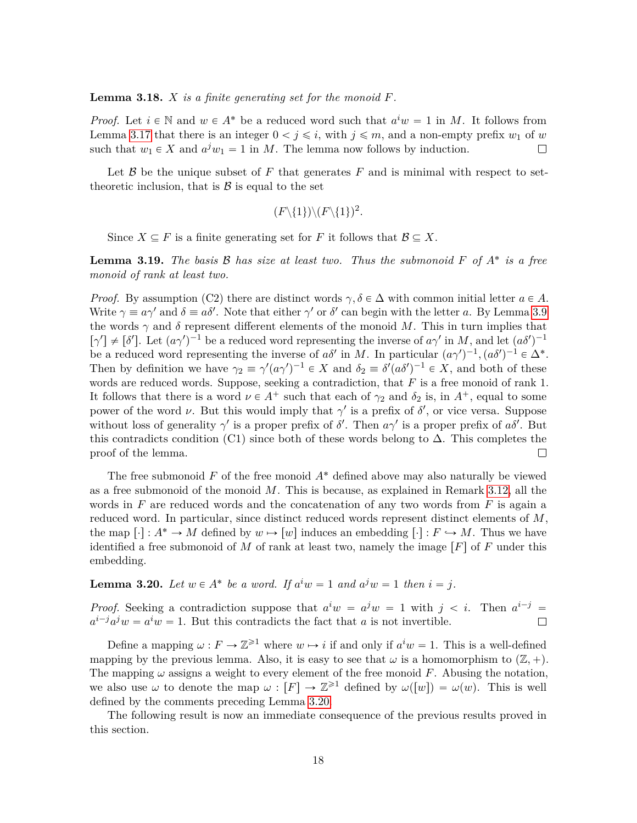<span id="page-17-1"></span>**Lemma 3.18.** *X is a finite generating set for the monoid F.*

*Proof.* Let  $i \in \mathbb{N}$  and  $w \in A^*$  be a reduced word such that  $a^i w = 1$  in *M*. It follows from Lemma [3.17](#page-16-0) that there is an integer  $0 < j \leq i$ , with  $j \leq m$ , and a non-empty prefix  $w_1$  of  $w$ such that  $w_1 \in X$  and  $a^j w_1 = 1$  in *M*. The lemma now follows by induction.  $\Box$ 

Let  $\beta$  be the unique subset of F that generates F and is minimal with respect to settheoretic inclusion, that is  $\beta$  is equal to the set

$$
(F \setminus \{1\}) \setminus (F \setminus \{1\})^2.
$$

Since  $X \subseteq F$  is a finite generating set for *F* it follows that  $\mathcal{B} \subseteq X$ .

<span id="page-17-2"></span>**Lemma 3.19.** *The basis* B *has size at least two. Thus the submonoid F of A*˚ *is a free monoid of rank at least two.*

*Proof.* By assumption (C2) there are distinct words  $\gamma, \delta \in \Delta$  with common initial letter  $a \in A$ . Write  $\gamma \equiv a\gamma'$  and  $\delta \equiv a\delta'$ . Note that either  $\gamma'$  or  $\delta'$  can begin with the letter *a*. By Lemma [3.9](#page-14-3) the words  $\gamma$  and  $\delta$  represent different elements of the monoid M. This in turn implies that  $[\gamma'] \neq [\delta']$ . Let  $(a\gamma')^{-1}$  be a reduced word representing the inverse of  $a\gamma'$  in *M*, and let  $(a\delta')^{-1}$ be a reduced word representing the inverse of  $a\delta'$  in *M*. In particular  $(a\gamma')^{-1}$ ,  $(a\delta')^{-1} \in \Delta^*$ . Then by definition we have  $\gamma_2 \equiv \gamma'(a\gamma')^{-1} \in X$  and  $\delta_2 \equiv \delta'(a\delta')^{-1} \in X$ , and both of these words are reduced words. Suppose, seeking a contradiction, that *F* is a free monoid of rank 1. It follows that there is a word  $\nu \in A^+$  such that each of  $\gamma_2$  and  $\delta_2$  is, in  $A^+$ , equal to some power of the word *ν*. But this would imply that  $\gamma'$  is a prefix of  $\delta'$ , or vice versa. Suppose without loss of generality  $\gamma'$  is a proper prefix of  $\delta'$ . Then  $a\gamma'$  is a proper prefix of  $a\delta'$ . But this contradicts condition (C1) since both of these words belong to  $\Delta$ . This completes the proof of the lemma.  $\Box$ 

The free submonoid *F* of the free monoid *A*˚ defined above may also naturally be viewed as a free submonoid of the monoid *M*. This is because, as explained in Remark [3.12,](#page-14-4) all the words in *F* are reduced words and the concatenation of any two words from *F* is again a reduced word. In particular, since distinct reduced words represent distinct elements of *M*, the map  $[\cdot]: A^* \to M$  defined by  $w \mapsto [w]$  induces an embedding  $[\cdot]: F \to M$ . Thus we have identified a free submonoid of *M* of rank at least two, namely the image  $\lfloor F \rfloor$  of *F* under this embedding.

<span id="page-17-0"></span>**Lemma 3.20.** *Let*  $w \in A^*$  *be a word. If*  $a^iw = 1$  *and*  $a^jw = 1$  *then*  $i = j$ *.* 

*Proof.* Seeking a contradiction suppose that  $a^iw = a^jw = 1$  with  $j < i$ . Then  $a^{i-j} =$  $a^{i-j}a^jw = a^iw = 1$ . But this contradicts the fact that *a* is not invertible.  $\Box$ 

Define a mapping  $\omega : F \to \mathbb{Z}^{\geq 1}$  where  $w \mapsto i$  if and only if  $a^i w = 1$ . This is a well-defined mapping by the previous lemma. Also, it is easy to see that  $\omega$  is a homomorphism to  $(\mathbb{Z}, +)$ . The mapping *ω* assigns a weight to every element of the free monoid *F*. Abusing the notation, we also use  $\omega$  to denote the map  $\omega : [F] \to \mathbb{Z}^{\geq 1}$  defined by  $\omega([w]) = \omega(w)$ . This is well defined by the comments preceding Lemma [3.20.](#page-17-0)

The following result is now an immediate consequence of the previous results proved in this section.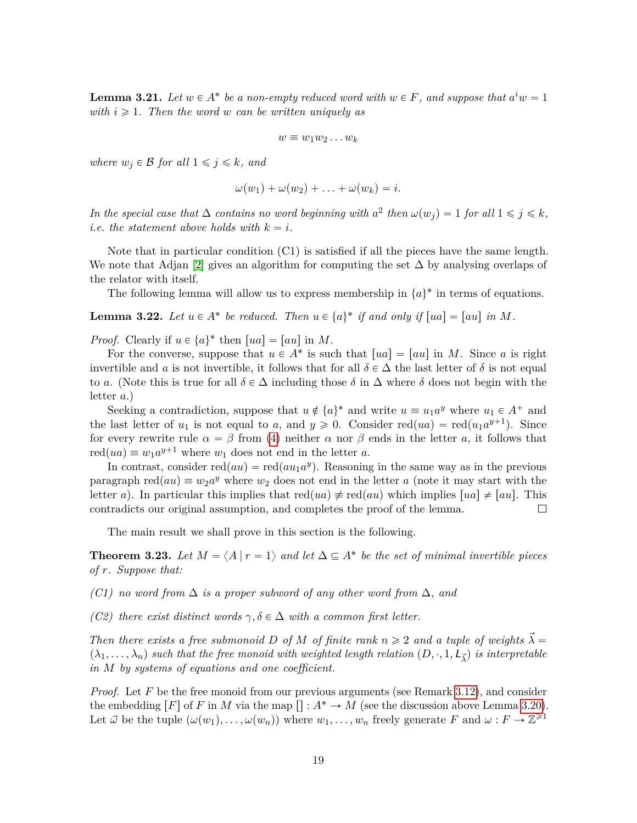<span id="page-18-1"></span>**Lemma 3.21.** Let  $w \in A^*$  be a non-empty reduced word with  $w \in F$ , and suppose that  $a^i w = 1$ *with*  $i \geq 1$ *. Then the word w can be written uniquely as* 

$$
w \equiv w_1 w_2 \dots w_k
$$

*where*  $w_j \in \mathcal{B}$  *for all*  $1 \leq j \leq k$ *, and* 

$$
\omega(w_1)+\omega(w_2)+\ldots+\omega(w_k)=i.
$$

*In the special case that*  $\Delta$  *contains no word beginning with*  $a^2$  *then*  $\omega(w_j) = 1$  *for all*  $1 \leq j \leq k$ *, i.e. the statement above holds with*  $k = i$ .

Note that in particular condition (C1) is satisfied if all the pieces have the same length. We note that Adjan [\[2\]](#page-26-7) gives an algorithm for computing the set  $\Delta$  by analysing overlaps of the relator with itself.

The following lemma will allow us to express membership in  $\{a\}^*$  in terms of equations.

<span id="page-18-2"></span>**Lemma 3.22.** Let  $u \in A^*$  be reduced. Then  $u \in \{a\}^*$  if and only if  $[ua] = [au]$  in M.

*Proof.* Clearly if  $u \in \{a\}^*$  then  $[ua] = [au]$  in *M*.

For the converse, suppose that  $u \in A^*$  is such that  $[ua] = [au]$  in *M*. Since *a* is right invertible and *a* is not invertible, it follows that for all  $\delta \in \Delta$  the last letter of  $\delta$  is not equal to *a*. (Note this is true for all  $\delta \in \Delta$  including those  $\delta$  in  $\Delta$  where  $\delta$  does not begin with the letter *a*.)

Seeking a contradiction, suppose that  $u \notin \{a\}^*$  and write  $u \equiv u_1 a^y$  where  $u_1 \in A^+$  and the last letter of  $u_1$  is not equal to *a*, and  $y \ge 0$ . Consider red $(ua) = \text{red}(u_1 a^{y+1})$ . Since for every rewrite rule  $\alpha = \beta$  from [\(4\)](#page-12-0) neither  $\alpha$  nor  $\beta$  ends in the letter *a*, it follows that  $\text{red}(ua) \equiv w_1 a^{y+1}$  where  $w_1$  does not end in the letter *a*.

In contrast, consider  $red(au) = red(au_1a^y)$ . Reasoning in the same way as in the previous paragraph  $red(au) \equiv w_2a^y$  where  $w_2$  does not end in the letter *a* (note it may start with the letter *a*). In particular this implies that  $\text{red}(ua) \neq \text{red}(au)$  which implies  $|ua| \neq |au|$ . This contradicts our original assumption, and completes the proof of the lemma.  $\Box$ 

The main result we shall prove in this section is the following.

<span id="page-18-0"></span>**Theorem 3.23.** Let  $M = \langle A | r = 1 \rangle$  and let  $\Delta \subseteq A^*$  be the set of minimal invertible pieces *of r. Suppose that:*

*(C1) no word from* ∆ *is a proper subword of any other word from* ∆*, and*

*(C2) there exist distinct words*  $\gamma, \delta \in \Delta$  *with a common first letter.* 

*Then there exists a free submonoid D of M of finite rank*  $n \ge 2$  *and a tuple of weights*  $\vec{\lambda}$  =  $(\lambda_1, \ldots, \lambda_n)$  such that the free monoid with weighted length relation  $(D, \cdot, 1, L_{\vec{\lambda}})$  is interpretable *in M by systems of equations and one coefficient.*

*Proof.* Let F be the free monoid from our previous arguments (see Remark [3.12\)](#page-14-4), and consider the embedding  $\lceil F \rceil$  of *F* in *M* via the map  $\lceil : \mathcal{A}^* \to M \rceil$  (see the discussion above Lemma [3.20\)](#page-17-0). Let  $\vec{\omega}$  be the tuple  $(\omega(w_1), \ldots, \omega(w_n))$  where  $w_1, \ldots, w_n$  freely generate *F* and  $\omega : F \to \mathbb{Z}^{\geq 1}$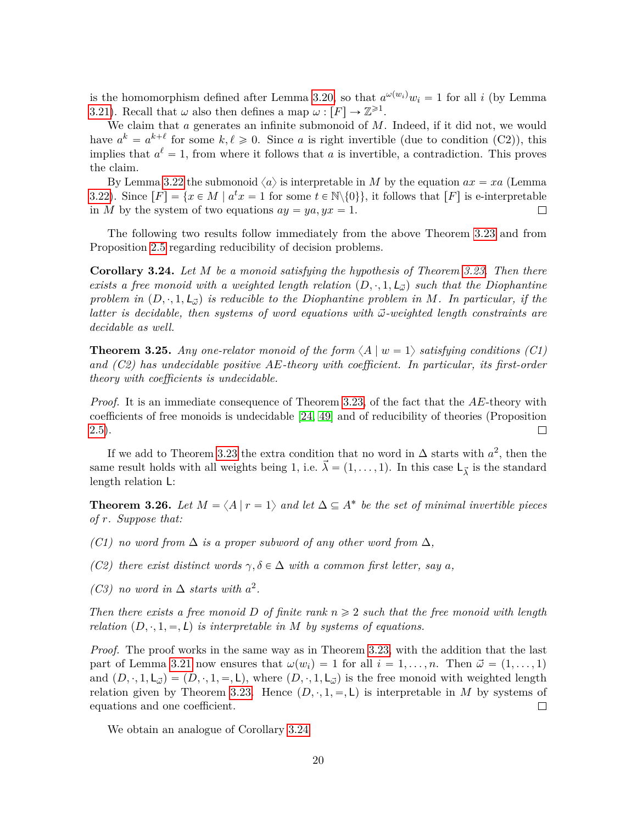is the homomorphism defined after Lemma [3.20,](#page-17-0) so that  $a^{\omega(w_i)}w_i = 1$  for all *i* (by Lemma [3.21\)](#page-18-1). Recall that  $\omega$  also then defines a map  $\omega : [F] \to \mathbb{Z}^{\geq 1}$ .

We claim that *a* generates an infinite submonoid of *M*. Indeed, if it did not, we would have  $a^k = a^{k+\ell}$  for some  $k, \ell \geqslant 0$ . Since *a* is right invertible (due to condition (C2)), this implies that  $a^{\ell} = 1$ , from where it follows that *a* is invertible, a contradiction. This proves the claim.

By Lemma [3.22](#page-18-2) the submonoid  $\langle a \rangle$  is interpretable in *M* by the equation  $ax = xa$  (Lemma [3.22\)](#page-18-2). Since  $[F] = \{x \in M \mid a^t x = 1 \text{ for some } t \in \mathbb{N} \setminus \{0\}\},\$ it follows that  $[F]$  is e-interpretable in *M* by the system of two equations  $ay = ya, yx = 1$ .  $\Box$ 

The following two results follow immediately from the above Theorem [3.23](#page-18-0) and from Proposition [2.5](#page-9-2) regarding reducibility of decision problems.

<span id="page-19-2"></span>**Corollary 3.24.** *Let M be a monoid satisfying the hypothesis of Theorem [3.23.](#page-18-0) Then there exists a free monoid with a weighted length relation*  $(D, \cdot, 1, L_{\vec{\omega}})$  *such that the Diophantine problem in*  $(D, \cdot, 1, L_{\vec{p}})$  *is reducible to the Diophantine problem in M. In particular, if the latter is decidable, then systems of word equations with*  $\vec{\omega}$ -weighted length constraints are *decidable as well.*

<span id="page-19-1"></span>**Theorem 3.25.** Any one-relator monoid of the form  $\langle A | w = 1 \rangle$  satisfying conditions (C1) *and (C2) has undecidable positive AE-theory with coefficient. In particular, its first-order theory with coefficients is undecidable.*

*Proof.* It is an immediate consequence of Theorem [3.23,](#page-18-0) of the fact that the *AE*-theory with coefficients of free monoids is undecidable [\[24,](#page-27-13) [49\]](#page-29-13) and of reducibility of theories (Proposition [2.5\)](#page-9-2).  $\Box$ 

If we add to Theorem [3.23](#page-18-0) the extra condition that no word in  $\Delta$  starts with  $a^2$ , then the same result holds with all weights being 1, i.e.  $\vec{\lambda} = (1, \ldots, 1)$ . In this case  $\mathsf{L}_{\vec{\lambda}}$  is the standard length relation L:

<span id="page-19-0"></span>**Theorem 3.26.** Let  $M = \langle A | r = 1 \rangle$  and let  $\Delta \subseteq A^*$  be the set of minimal invertible pieces *of r. Suppose that:*

- *(C1) no word from*  $\Delta$  *is a proper subword of any other word from*  $\Delta$ *,*
- *(C2) there exist distinct words*  $\gamma, \delta \in \Delta$  *with a common first letter, say a*,
- *(C3) no word in*  $\Delta$  *starts with*  $a^2$ .

*Then there exists a free monoid D of finite rank*  $n \geq 2$  *such that the free monoid with length relation*  $(D, \cdot, 1, =, L)$  *is interpretable in M by systems of equations.* 

*Proof.* The proof works in the same way as in Theorem [3.23,](#page-18-0) with the addition that the last part of Lemma [3.21](#page-18-1) now ensures that  $\omega(w_i) = 1$  for all  $i = 1, \ldots, n$ . Then  $\vec{\omega} = (1, \ldots, 1)$ and  $(D, \cdot, 1, L_{\tilde{\omega}}) = (D, \cdot, 1, =, L)$ , where  $(D, \cdot, 1, L_{\tilde{\omega}})$  is the free monoid with weighted length relation given by Theorem [3.23.](#page-18-0) Hence  $(D, \cdot, 1, =, L)$  is interpretable in *M* by systems of equations and one coefficient.  $\Box$ 

We obtain an analogue of Corollary [3.24](#page-19-2)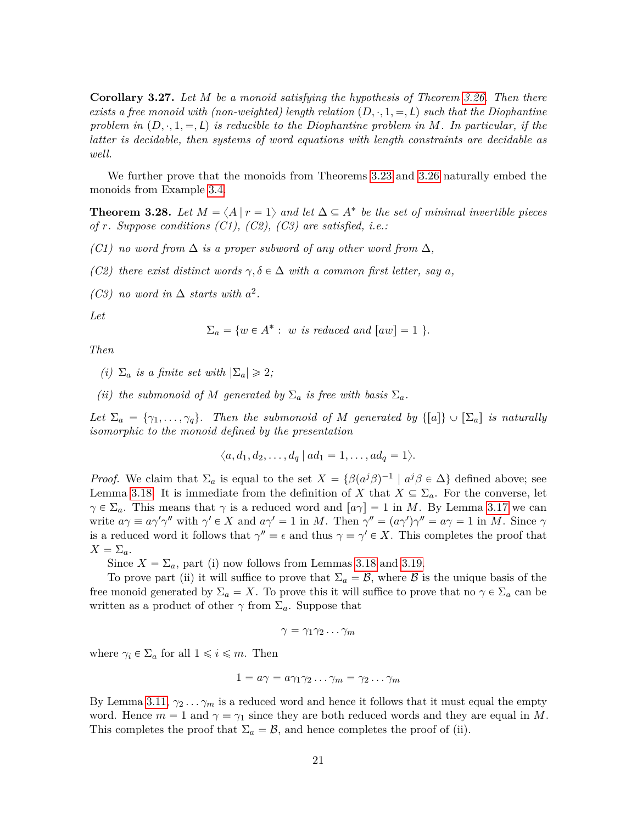**Corollary 3.27.** *Let M be a monoid satisfying the hypothesis of Theorem [3.26.](#page-19-0) Then there exists a free monoid with (non-weighted) length relation*  $(D, \cdot, 1, =, L)$  *such that the Diophantine problem in*  $(D, \cdot, 1, =, L)$  *is reducible to the Diophantine problem in*  $M$ *. In particular, if the latter is decidable, then systems of word equations with length constraints are decidable as well.*

We further prove that the monoids from Theorems [3.23](#page-18-0) and [3.26](#page-19-0) naturally embed the monoids from Example [3.4.](#page-12-2)

<span id="page-20-0"></span>**Theorem 3.28.** Let  $M = \langle A | r = 1 \rangle$  and let  $\Delta \subseteq A^*$  be the set of minimal invertible pieces *of r. Suppose conditions (C1), (C2), (C3) are satisfied, i.e.:*

- *(C1) no word from*  $\Delta$  *is a proper subword of any other word from*  $\Delta$ *,*
- *(C2) there exist distinct words*  $\gamma, \delta \in \Delta$  *with a common first letter, say a*,
- *(C3) no word in*  $\Delta$  *starts with*  $a^2$ *.*

*Let*

$$
\Sigma_a = \{ w \in A^* : w \text{ is reduced and } [aw] = 1 \}.
$$

*Then*

- *(i)*  $\Sigma_a$  *is a finite set with*  $|\Sigma_a| \geq 2$ ;
- *(ii) the submonoid of M* generated by  $\Sigma_a$  *is free with basis*  $\Sigma_a$ *.*

*Let*  $\Sigma_a = {\gamma_1, \ldots, \gamma_q}$ . Then the submonoid of *M* generated by  $\{[a]\} \cup [\Sigma_a]$  is naturally *isomorphic to the monoid defined by the presentation*

$$
\langle a,d_1,d_2,\ldots,d_q \mid ad_1=1,\ldots,ad_q=1\rangle.
$$

*Proof.* We claim that  $\Sigma_a$  is equal to the set  $X = {\beta(a^j\beta)^{-1} \mid a^j\beta \in \Delta}$  defined above; see Lemma [3.18.](#page-17-1) It is immediate from the definition of *X* that  $X \subseteq \Sigma_a$ . For the converse, let  $\gamma \in \Sigma_a$ . This means that  $\gamma$  is a reduced word and  $[a\gamma] = 1$  in *M*. By Lemma [3.17](#page-16-0) we can write  $a\gamma \equiv a\gamma'\gamma''$  with  $\gamma' \in X$  and  $a\gamma' = 1$  in *M*. Then  $\gamma'' = (a\gamma')\gamma'' = a\gamma = 1$  in *M*. Since  $\gamma$ is a reduced word it follows that  $\gamma'' \equiv \epsilon$  and thus  $\gamma \equiv \gamma' \in X$ . This completes the proof that  $X = \Sigma_a$ .

Since  $X = \Sigma_a$ , part (i) now follows from Lemmas [3.18](#page-17-1) and [3.19.](#page-17-2)

To prove part (ii) it will suffice to prove that  $\Sigma_a = \mathcal{B}$ , where  $\mathcal{B}$  is the unique basis of the free monoid generated by  $\Sigma_a = X$ . To prove this it will suffice to prove that no  $\gamma \in \Sigma_a$  can be written as a product of other  $\gamma$  from  $\Sigma_a$ . Suppose that

$$
\gamma = \gamma_1 \gamma_2 \dots \gamma_m
$$

where  $\gamma_i \in \Sigma_a$  for all  $1 \leq i \leq m$ . Then

$$
1 = a\gamma = a\gamma_1\gamma_2\ldots\gamma_m = \gamma_2\ldots\gamma_m
$$

By Lemma [3.11,](#page-14-1)  $\gamma_2 \ldots \gamma_m$  is a reduced word and hence it follows that it must equal the empty word. Hence  $m = 1$  and  $\gamma = \gamma_1$  since they are both reduced words and they are equal in M. This completes the proof that  $\Sigma_a = \mathcal{B}$ , and hence completes the proof of (ii).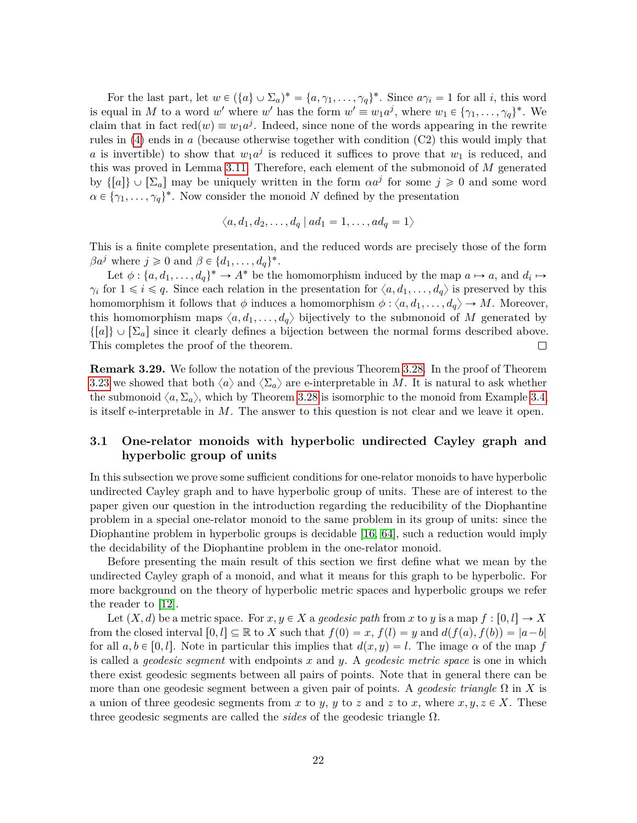For the last part, let  $w \in (\{a\} \cup \Sigma_a)^* = \{a, \gamma_1, \ldots, \gamma_q\}^*$ . Since  $a\gamma_i = 1$  for all *i*, this word is equal in *M* to a word *w'* where *w'* has the form  $w' \equiv w_1 a^j$ , where  $w_1 \in \{ \gamma_1, \ldots, \gamma_q \}^*$ . We claim that in fact  $red(w) \equiv w_1 a^j$ . Indeed, since none of the words appearing in the rewrite rules in [\(4\)](#page-12-0) ends in *a* (because otherwise together with condition (C2) this would imply that *a* is invertible) to show that  $w_1a^j$  is reduced it suffices to prove that  $w_1$  is reduced, and this was proved in Lemma [3.11.](#page-14-1) Therefore, each element of the submonoid of *M* generated by  $\{[a]\}\cup[\Sigma_a]$  may be uniquely written in the form  $\alpha a^j$  for some  $j\geqslant 0$  and some word  $\alpha \in {\gamma_1, \ldots, \gamma_q}^*$ . Now consider the monoid *N* defined by the presentation

$$
\langle a, d_1, d_2, \dots, d_q \mid ad_1 = 1, \dots, ad_q = 1 \rangle
$$

This is a finite complete presentation, and the reduced words are precisely those of the form  $\beta a^j$  where  $j \geq 0$  and  $\beta \in \{d_1, \ldots, d_q\}^*$ .

Let  $\phi: \{a, d_1, \ldots, d_q\}^* \to A^*$  be the homomorphism induced by the map  $a \mapsto a$ , and  $d_i \mapsto$ *γ*<sup>*i*</sup> for  $1 \leq i \leq q$ . Since each relation in the presentation for  $\langle a, d_1, \ldots, d_q \rangle$  is preserved by this homomorphism it follows that  $\phi$  induces a homomorphism  $\phi$  :  $\langle a, d_1, \ldots, d_q \rangle \rightarrow M$ . Moreover, this homomorphism maps  $\langle a, d_1, \ldots, d_q \rangle$  bijectively to the submonoid of *M* generated by  $\{[a]\}\cup[\Sigma_a]$  since it clearly defines a bijection between the normal forms described above. This completes the proof of the theorem.  $\Box$ 

**Remark 3.29.** We follow the notation of the previous Theorem [3.28.](#page-20-0) In the proof of Theorem [3.23](#page-18-0) we showed that both  $\langle a \rangle$  and  $\langle \Sigma_a \rangle$  are e-interpretable in *M*. It is natural to ask whether the submonoid  $\langle a, \Sigma_a \rangle$ , which by Theorem [3.28](#page-20-0) is isomorphic to the monoid from Example [3.4,](#page-12-2) is itself e-interpretable in *M*. The answer to this question is not clear and we leave it open.

## **3.1 One-relator monoids with hyperbolic undirected Cayley graph and hyperbolic group of units**

In this subsection we prove some sufficient conditions for one-relator monoids to have hyperbolic undirected Cayley graph and to have hyperbolic group of units. These are of interest to the paper given our question in the introduction regarding the reducibility of the Diophantine problem in a special one-relator monoid to the same problem in its group of units: since the Diophantine problem in hyperbolic groups is decidable [\[16,](#page-27-7) [64\]](#page-30-12), such a reduction would imply the decidability of the Diophantine problem in the one-relator monoid.

Before presenting the main result of this section we first define what we mean by the undirected Cayley graph of a monoid, and what it means for this graph to be hyperbolic. For more background on the theory of hyperbolic metric spaces and hyperbolic groups we refer the reader to [\[12\]](#page-27-14).

Let  $(X, d)$  be a metric space. For  $x, y \in X$  a *geodesic path* from x to y is a map  $f : [0, l] \to X$ from the closed interval  $[0, l] \subseteq \mathbb{R}$  to X such that  $f(0) = x$ ,  $f(l) = y$  and  $d(f(a), f(b)) = |a-b|$ for all  $a, b \in [0, l]$ . Note in particular this implies that  $d(x, y) = l$ . The image  $\alpha$  of the map *f* is called a *geodesic segment* with endpoints *x* and *y*. A *geodesic metric space* is one in which there exist geodesic segments between all pairs of points. Note that in general there can be more than one geodesic segment between a given pair of points. A *geodesic triangle* Ω in *X* is a union of three geodesic segments from x to y, y to z and z to x, where  $x, y, z \in X$ . These three geodesic segments are called the *sides* of the geodesic triangle Ω.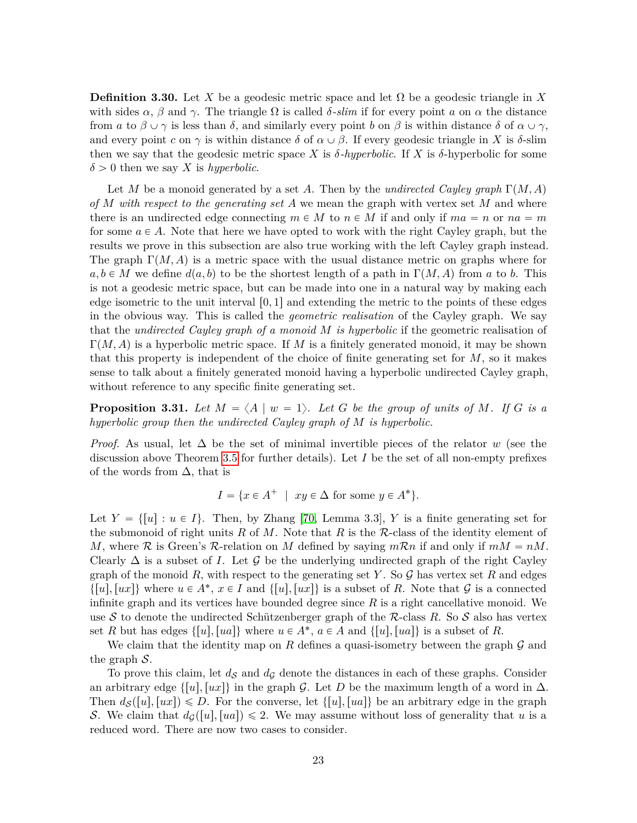**Definition 3.30.** Let *X* be a geodesic metric space and let  $\Omega$  be a geodesic triangle in *X* with sides  $\alpha$ ,  $\beta$  and  $\gamma$ . The triangle  $\Omega$  is called  $\delta$ *-slim* if for every point *a* on  $\alpha$  the distance from *a* to  $\beta \cup \gamma$  is less than  $\delta$ , and similarly every point *b* on  $\beta$  is within distance  $\delta$  of  $\alpha \cup \gamma$ , and every point *c* on  $\gamma$  is within distance  $\delta$  of  $\alpha \cup \beta$ . If every geodesic triangle in X is  $\delta$ -slim then we say that the geodesic metric space *X* is  $\delta$ -hyperbolic. If *X* is  $\delta$ -hyperbolic for some  $\delta > 0$  then we say *X* is *hyperbolic*.

Let *M* be a monoid generated by a set *A*. Then by the *undirected Cayley graph*  $\Gamma(M, A)$ *of M with respect to the generating set A* we mean the graph with vertex set *M* and where there is an undirected edge connecting  $m \in M$  to  $n \in M$  if and only if  $ma = n$  or  $na = m$ for some  $a \in A$ . Note that here we have opted to work with the right Cayley graph, but the results we prove in this subsection are also true working with the left Cayley graph instead. The graph  $\Gamma(M, A)$  is a metric space with the usual distance metric on graphs where for  $a, b \in M$  we define  $d(a, b)$  to be the shortest length of a path in  $\Gamma(M, A)$  from *a* to *b*. This is not a geodesic metric space, but can be made into one in a natural way by making each edge isometric to the unit interval  $[0,1]$  and extending the metric to the points of these edges in the obvious way. This is called the *geometric realisation* of the Cayley graph. We say that the *undirected Cayley graph of a monoid M is hyperbolic* if the geometric realisation of  $\Gamma(M, A)$  is a hyperbolic metric space. If M is a finitely generated monoid, it may be shown that this property is independent of the choice of finite generating set for *M*, so it makes sense to talk about a finitely generated monoid having a hyperbolic undirected Cayley graph, without reference to any specific finite generating set.

<span id="page-22-0"></span>**Proposition 3.31.** Let  $M = \langle A | w = 1 \rangle$ . Let G be the group of units of M. If G is a *hyperbolic group then the undirected Cayley graph of M is hyperbolic.*

*Proof.* As usual, let  $\Delta$  be the set of minimal invertible pieces of the relator *w* (see the discussion above Theorem [3.5](#page-12-1) for further details). Let *I* be the set of all non-empty prefixes of the words from  $\Delta$ , that is

$$
I = \{ x \in A^+ \mid xy \in \Delta \text{ for some } y \in A^* \}.
$$

Let  $Y = \{ [u] : u \in I \}$ . Then, by Zhang [\[70,](#page-30-10) Lemma 3.3], Y is a finite generating set for the submonoid of right units  $R$  of  $M$ . Note that  $R$  is the  $R$ -class of the identity element of *M*, where  $\mathcal{R}$  is Green's  $\mathcal{R}\text{-relation on }M$  defined by saying  $m\mathcal{R}n$  if and only if  $mM = nM$ . Clearly  $\Delta$  is a subset of *I*. Let G be the underlying undirected graph of the right Cayley graph of the monoid  $R$ , with respect to the generating set  $Y$ . So  $\mathcal G$  has vertex set  $R$  and edges  $\{[u], [ux]\}$  where  $u \in A^*$ ,  $x \in I$  and  $\{[u], [ux]\}$  is a subset of *R*. Note that  $\mathcal G$  is a connected infinite graph and its vertices have bounded degree since *R* is a right cancellative monoid. We use S to denote the undirected Schützenberger graph of the  $\mathcal R$ -class  $R$ . So S also has vertex set *R* but has edges  $\{[u], [ua]\}$  where  $u \in A^*$ ,  $a \in A$  and  $\{[u], [ua]\}$  is a subset of *R*.

We claim that the identity map on  $R$  defines a quasi-isometry between the graph  $\mathcal G$  and the graph  $S$ .

To prove this claim, let  $d_{\mathcal{S}}$  and  $d_{\mathcal{G}}$  denote the distances in each of these graphs. Consider an arbitrary edge  $\{[u], [ux]\}$  in the graph G. Let D be the maximum length of a word in  $\Delta$ . Then  $d_{\mathcal{S}}([u], [ux]) \leq D$ . For the converse, let  $\{[u], [ua]\}$  be an arbitrary edge in the graph S. We claim that  $d_G([u], [ua]) \leq 2$ . We may assume without loss of generality that *u* is a reduced word. There are now two cases to consider.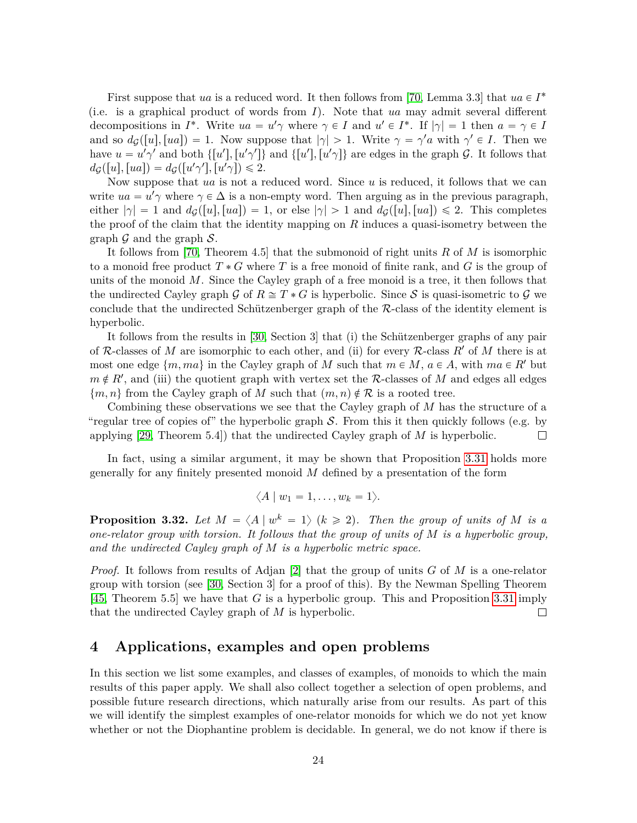First suppose that *ua* is a reduced word. It then follows from [\[70,](#page-30-10) Lemma 3.3] that  $ua \in I^*$ (i.e. is a graphical product of words from *I*). Note that *ua* may admit several different decompositions in  $I^*$ . Write  $ua = u' \gamma$  where  $\gamma \in I$  and  $u' \in I^*$ . If  $|\gamma| = 1$  then  $a = \gamma \in I$ and so  $d_{\mathcal{G}}([u],[ua]) = 1$ . Now suppose that  $|\gamma| > 1$ . Write  $\gamma = \gamma' a$  with  $\gamma' \in I$ . Then we have  $u = u' \gamma'$  and both  $\{[u'], [u'\gamma']\}$  and  $\{[u'], [u'\gamma]\}$  are edges in the graph G. It follows that  $d_{\mathcal{G}}([u],[ua]) = d_{\mathcal{G}}([u'\gamma'],[u'\gamma]) \leq 2.$ 

Now suppose that *ua* is not a reduced word. Since *u* is reduced, it follows that we can write  $ua = u'$  where  $\gamma \in \Delta$  is a non-empty word. Then arguing as in the previous paragraph, either  $|\gamma| = 1$  and  $d_G([u], [ua]) = 1$ , or else  $|\gamma| > 1$  and  $d_G([u], [ua]) \leq 2$ . This completes the proof of the claim that the identity mapping on *R* induces a quasi-isometry between the graph  $\mathcal G$  and the graph  $\mathcal S$ .

It follows from [\[70,](#page-30-10) Theorem 4.5] that the submonoid of right units *R* of *M* is isomorphic to a monoid free product  $T * G$  where T is a free monoid of finite rank, and G is the group of units of the monoid *M*. Since the Cayley graph of a free monoid is a tree, it then follows that the undirected Cayley graph G of  $R \cong T * G$  is hyperbolic. Since S is quasi-isometric to G we conclude that the undirected Schützenberger graph of the R-class of the identity element is hyperbolic.

It follows from the results in [\[30,](#page-28-9) Section 3] that (i) the Schützenberger graphs of any pair of R-classes of M are isomorphic to each other, and (ii) for every R-class  $R'$  of M there is at most one edge  $\{m, ma\}$  in the Cayley graph of *M* such that  $m \in M$ ,  $a \in A$ , with  $ma \in R'$  but  $m \notin R'$ , and (iii) the quotient graph with vertex set the R-classes of *M* and edges all edges  $\{m, n\}$  from the Cayley graph of *M* such that  $(m, n) \notin \mathcal{R}$  is a rooted tree.

Combining these observations we see that the Cayley graph of *M* has the structure of a "regular tree of copies of" the hyperbolic graph  $S$ . From this it then quickly follows (e.g. by applying [\[29,](#page-28-10) Theorem 5.4]) that the undirected Cayley graph of *M* is hyperbolic.  $\Box$ 

In fact, using a similar argument, it may be shown that Proposition [3.31](#page-22-0) holds more generally for any finitely presented monoid *M* defined by a presentation of the form

$$
\langle A \mid w_1 = 1, \ldots, w_k = 1 \rangle.
$$

<span id="page-23-0"></span>**Proposition 3.32.** Let  $M = \langle A | w^k = 1 \rangle$   $(k \ge 2)$ . Then the group of units of M is a *one-relator group with torsion. It follows that the group of units of M is a hyperbolic group, and the undirected Cayley graph of M is a hyperbolic metric space.*

*Proof.* It follows from results of Adjan [\[2\]](#page-26-7) that the group of units *G* of *M* is a one-relator group with torsion (see [\[30,](#page-28-9) Section 3] for a proof of this). By the Newman Spelling Theorem [\[45,](#page-29-14) Theorem 5.5] we have that *G* is a hyperbolic group. This and Proposition [3.31](#page-22-0) imply that the undirected Cayley graph of *M* is hyperbolic.  $\Box$ 

### <span id="page-23-1"></span>**4 Applications, examples and open problems**

In this section we list some examples, and classes of examples, of monoids to which the main results of this paper apply. We shall also collect together a selection of open problems, and possible future research directions, which naturally arise from our results. As part of this we will identify the simplest examples of one-relator monoids for which we do not yet know whether or not the Diophantine problem is decidable. In general, we do not know if there is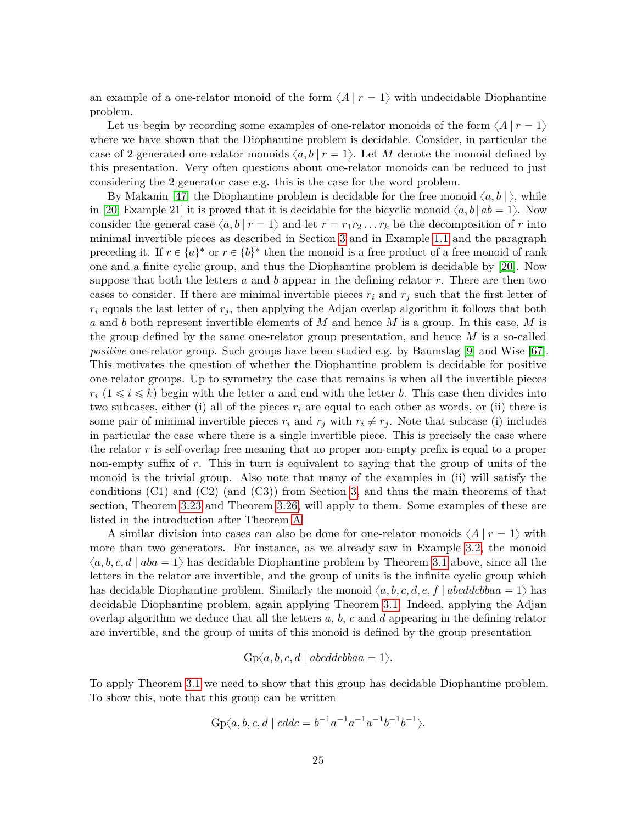an example of a one-relator monoid of the form  $\langle A | r = 1 \rangle$  with undecidable Diophantine problem.

Let us begin by recording some examples of one-relator monoids of the form  $\langle A | r = 1 \rangle$ where we have shown that the Diophantine problem is decidable. Consider, in particular the case of 2-generated one-relator monoids  $\langle a, b | r = 1 \rangle$ . Let M denote the monoid defined by this presentation. Very often questions about one-relator monoids can be reduced to just considering the 2-generator case e.g. this is the case for the word problem.

By Makanin [\[47\]](#page-29-1) the Diophantine problem is decidable for the free monoid  $\langle a, b \rangle$ , while in [\[20,](#page-27-5) Example 21] it is proved that it is decidable for the bicyclic monoid  $\langle a, b | ab = 1 \rangle$ . Now consider the general case  $\langle a, b | r = 1 \rangle$  and let  $r = r_1 r_2 \dots r_k$  be the decomposition of *r* into minimal invertible pieces as described in Section [3](#page-10-1) and in Example [1.1](#page-3-0) and the paragraph preceding it. If  $r \in \{a\}^*$  or  $r \in \{b\}^*$  then the monoid is a free product of a free monoid of rank one and a finite cyclic group, and thus the Diophantine problem is decidable by [\[20\]](#page-27-5). Now suppose that both the letters *a* and *b* appear in the defining relator *r*. There are then two cases to consider. If there are minimal invertible pieces  $r_i$  and  $r_j$  such that the first letter of  $r_i$  equals the last letter of  $r_j$ , then applying the Adjan overlap algorithm it follows that both *a* and *b* both represent invertible elements of *M* and hence *M* is a group. In this case, *M* is the group defined by the same one-relator group presentation, and hence *M* is a so-called *positive* one-relator group. Such groups have been studied e.g. by Baumslag [\[9\]](#page-26-9) and Wise [\[67\]](#page-30-13). This motivates the question of whether the Diophantine problem is decidable for positive one-relator groups. Up to symmetry the case that remains is when all the invertible pieces  $r_i$  ( $1 \leq i \leq k$ ) begin with the letter *a* and end with the letter *b*. This case then divides into two subcases, either (i) all of the pieces  $r_i$  are equal to each other as words, or (ii) there is some pair of minimal invertible pieces  $r_i$  and  $r_j$  with  $r_i \neq r_j$ . Note that subcase (i) includes in particular the case where there is a single invertible piece. This is precisely the case where the relator *r* is self-overlap free meaning that no proper non-empty prefix is equal to a proper non-empty suffix of *r*. This in turn is equivalent to saying that the group of units of the monoid is the trivial group. Also note that many of the examples in (ii) will satisfy the conditions (C1) and (C2) (and (C3)) from Section [3,](#page-10-1) and thus the main theorems of that section, Theorem [3.23](#page-18-0) and Theorem [3.26,](#page-19-0) will apply to them. Some examples of these are listed in the introduction after Theorem [A.](#page-4-0)

A similar division into cases can also be done for one-relator monoids  $\langle A | r = 1 \rangle$  with more than two generators. For instance, as we already saw in Example [3.2,](#page-10-2) the monoid  $\langle a, b, c, d \mid aba = 1 \rangle$  has decidable Diophantine problem by Theorem [3.1](#page-10-0) above, since all the letters in the relator are invertible, and the group of units is the infinite cyclic group which has decidable Diophantine problem. Similarly the monoid  $\langle a, b, c, d, e, f | abcddcbbaa = 1 \rangle$  has decidable Diophantine problem, again applying Theorem [3.1.](#page-10-0) Indeed, applying the Adjan overlap algorithm we deduce that all the letters *a*, *b*, *c* and *d* appearing in the defining relator are invertible, and the group of units of this monoid is defined by the group presentation

$$
Gp\langle a,b,c,d \mid abcddcbbaa=1\rangle.
$$

To apply Theorem [3.1](#page-10-0) we need to show that this group has decidable Diophantine problem. To show this, note that this group can be written

$$
Gp\langle a, b, c, d \mid cddc = b^{-1}a^{-1}a^{-1}a^{-1}b^{-1}b^{-1}\rangle.
$$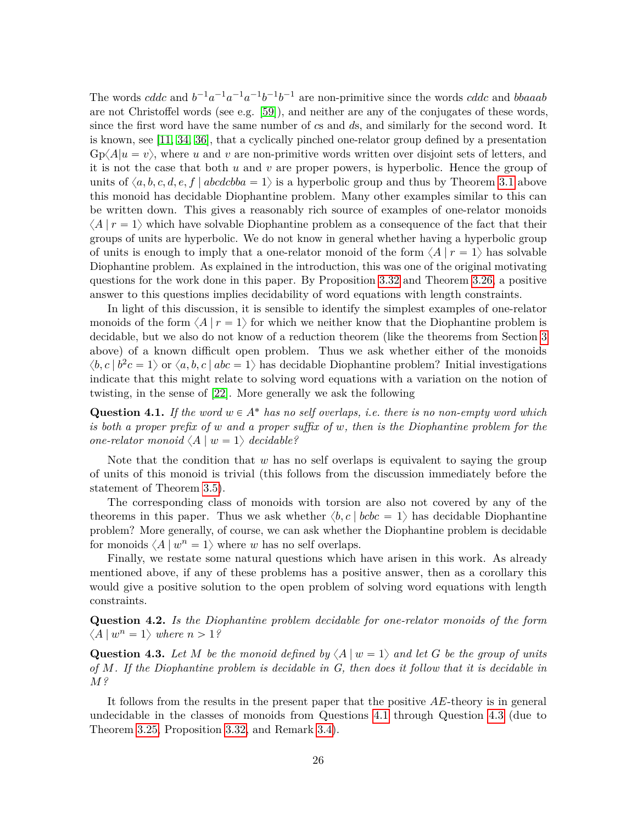The words *cddc* and  $b^{-1}a^{-1}a^{-1}b^{-1}b^{-1}$  are non-primitive since the words *cddc* and *bbaaab* are not Christoffel words (see e.g. [\[59\]](#page-30-14)), and neither are any of the conjugates of these words, since the first word have the same number of *c*s and *d*s, and similarly for the second word. It is known, see [\[11,](#page-26-10) [34,](#page-28-11) [36\]](#page-28-12), that a cyclically pinched one-relator group defined by a presentation  $Gp\langle A|u = v\rangle$ , where *u* and *v* are non-primitive words written over disjoint sets of letters, and it is not the case that both *u* and *v* are proper powers, is hyperbolic. Hence the group of units of  $\langle a, b, c, d, e, f | abcdeba = 1 \rangle$  is a hyperbolic group and thus by Theorem [3.1](#page-10-0) above this monoid has decidable Diophantine problem. Many other examples similar to this can be written down. This gives a reasonably rich source of examples of one-relator monoids  $\langle A | r = 1 \rangle$  which have solvable Diophantine problem as a consequence of the fact that their groups of units are hyperbolic. We do not know in general whether having a hyperbolic group of units is enough to imply that a one-relator monoid of the form  $\langle A | r = 1 \rangle$  has solvable Diophantine problem. As explained in the introduction, this was one of the original motivating questions for the work done in this paper. By Proposition [3.32](#page-23-0) and Theorem [3.26,](#page-19-0) a positive answer to this questions implies decidability of word equations with length constraints.

In light of this discussion, it is sensible to identify the simplest examples of one-relator monoids of the form  $\langle A | r = 1 \rangle$  for which we neither know that the Diophantine problem is decidable, but we also do not know of a reduction theorem (like the theorems from Section [3](#page-10-1) above) of a known difficult open problem. Thus we ask whether either of the monoids  $\langle b, c \mid b^2 c = 1 \rangle$  or  $\langle a, b, c \mid abc = 1 \rangle$  has decidable Diophantine problem? Initial investigations indicate that this might relate to solving word equations with a variation on the notion of twisting, in the sense of [\[22\]](#page-27-2). More generally we ask the following

<span id="page-25-0"></span>**Question 4.1.** If the word  $w \in A^*$  has no self overlaps, i.e. there is no non-empty word which *is both a proper prefix of w and a proper suffix of w, then is the Diophantine problem for the one-relator monoid*  $\langle A | w = 1 \rangle$  *decidable?* 

Note that the condition that *w* has no self overlaps is equivalent to saying the group of units of this monoid is trivial (this follows from the discussion immediately before the statement of Theorem [3.5\)](#page-12-1).

The corresponding class of monoids with torsion are also not covered by any of the theorems in this paper. Thus we ask whether  $\langle b, c \mid bcbc = 1 \rangle$  has decidable Diophantine problem? More generally, of course, we can ask whether the Diophantine problem is decidable for monoids  $\langle A | w^n = 1 \rangle$  where *w* has no self overlaps.

Finally, we restate some natural questions which have arisen in this work. As already mentioned above, if any of these problems has a positive answer, then as a corollary this would give a positive solution to the open problem of solving word equations with length constraints.

**Question 4.2.** *Is the Diophantine problem decidable for one-relator monoids of the form*  $\langle A | w^n = 1 \rangle$  *where*  $n > 1$ ?

<span id="page-25-1"></span>**Question 4.3.** Let *M* be the monoid defined by  $\langle A | w = 1 \rangle$  and let *G* be the group of units *of M. If the Diophantine problem is decidable in G, then does it follow that it is decidable in M?*

It follows from the results in the present paper that the positive *AE*-theory is in general undecidable in the classes of monoids from Questions [4.1](#page-25-0) through Question [4.3](#page-25-1) (due to Theorem [3.25,](#page-19-1) Proposition [3.32,](#page-23-0) and Remark [3.4\)](#page-12-2).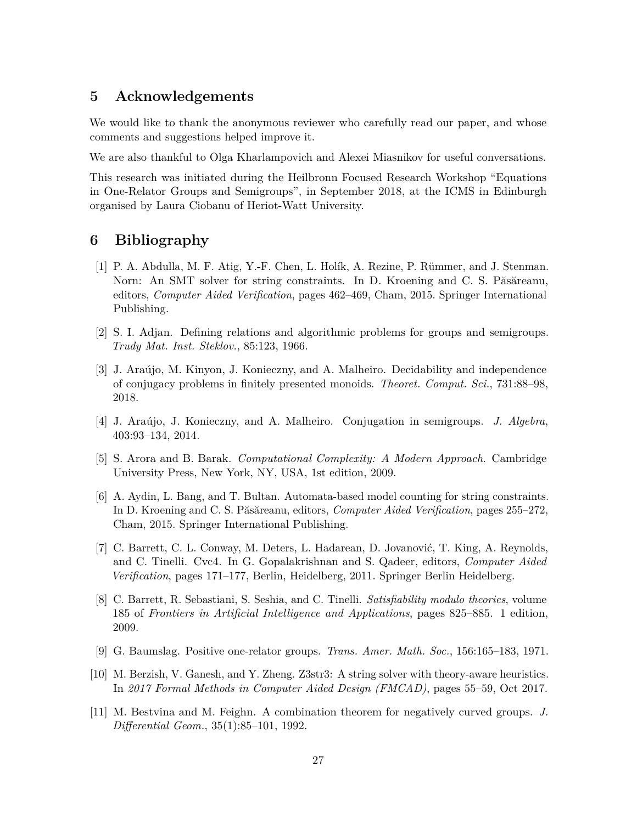# **5 Acknowledgements**

We would like to thank the anonymous reviewer who carefully read our paper, and whose comments and suggestions helped improve it.

We are also thankful to Olga Kharlampovich and Alexei Miasnikov for useful conversations.

This research was initiated during the Heilbronn Focused Research Workshop "Equations in One-Relator Groups and Semigroups", in September 2018, at the ICMS in Edinburgh organised by Laura Ciobanu of Heriot-Watt University.

## **6 Bibliography**

- <span id="page-26-1"></span>[1] P. A. Abdulla, M. F. Atig, Y.-F. Chen, L. Holík, A. Rezine, P. Rümmer, and J. Stenman. Norn: An SMT solver for string constraints. In D. Kroening and C. S. Păsăreanu, editors, *Computer Aided Verification*, pages 462–469, Cham, 2015. Springer International Publishing.
- <span id="page-26-7"></span>[2] S. I. Adjan. Defining relations and algorithmic problems for groups and semigroups. *Trudy Mat. Inst. Steklov.*, 85:123, 1966.
- <span id="page-26-5"></span>[3] J. Araújo, M. Kinyon, J. Konieczny, and A. Malheiro. Decidability and independence of conjugacy problems in finitely presented monoids. *Theoret. Comput. Sci.*, 731:88–98, 2018.
- <span id="page-26-6"></span>[4] J. Araújo, J. Konieczny, and A. Malheiro. Conjugation in semigroups. *J. Algebra*, 403:93–134, 2014.
- <span id="page-26-8"></span>[5] S. Arora and B. Barak. *Computational Complexity: A Modern Approach*. Cambridge University Press, New York, NY, USA, 1st edition, 2009.
- <span id="page-26-2"></span>[6] A. Aydin, L. Bang, and T. Bultan. Automata-based model counting for string constraints. In D. Kroening and C. S. Păsăreanu, editors, *Computer Aided Verification*, pages 255–272, Cham, 2015. Springer International Publishing.
- <span id="page-26-3"></span>[7] C. Barrett, C. L. Conway, M. Deters, L. Hadarean, D. Jovanović, T. King, A. Reynolds, and C. Tinelli. Cvc4. In G. Gopalakrishnan and S. Qadeer, editors, *Computer Aided Verification*, pages 171–177, Berlin, Heidelberg, 2011. Springer Berlin Heidelberg.
- <span id="page-26-0"></span>[8] C. Barrett, R. Sebastiani, S. Seshia, and C. Tinelli. *Satisfiability modulo theories*, volume 185 of *Frontiers in Artificial Intelligence and Applications*, pages 825–885. 1 edition, 2009.
- <span id="page-26-9"></span>[9] G. Baumslag. Positive one-relator groups. *Trans. Amer. Math. Soc.*, 156:165–183, 1971.
- <span id="page-26-4"></span>[10] M. Berzish, V. Ganesh, and Y. Zheng. Z3str3: A string solver with theory-aware heuristics. In *2017 Formal Methods in Computer Aided Design (FMCAD)*, pages 55–59, Oct 2017.
- <span id="page-26-10"></span>[11] M. Bestvina and M. Feighn. A combination theorem for negatively curved groups. *J. Differential Geom.*, 35(1):85–101, 1992.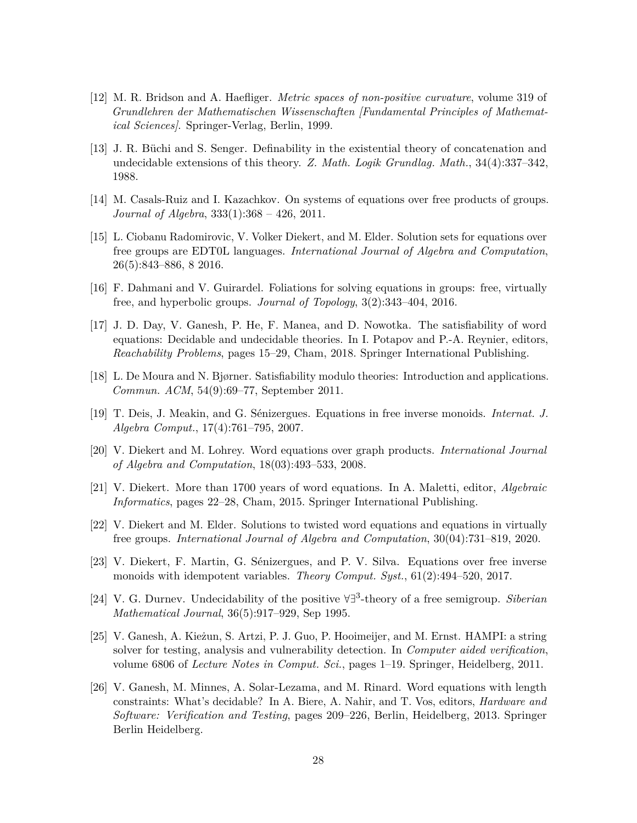- <span id="page-27-14"></span>[12] M. R. Bridson and A. Haefliger. *Metric spaces of non-positive curvature*, volume 319 of *Grundlehren der Mathematischen Wissenschaften [Fundamental Principles of Mathematical Sciences]*. Springer-Verlag, Berlin, 1999.
- <span id="page-27-8"></span>[13] J. R. Büchi and S. Senger. Definability in the existential theory of concatenation and undecidable extensions of this theory. *Z. Math. Logik Grundlag. Math.*, 34(4):337–342, 1988.
- <span id="page-27-3"></span>[14] M. Casals-Ruiz and I. Kazachkov. On systems of equations over free products of groups. *Journal of Algebra*, 333(1):368 – 426, 2011.
- <span id="page-27-1"></span>[15] L. Ciobanu Radomirovic, V. Volker Diekert, and M. Elder. Solution sets for equations over free groups are EDT0L languages. *International Journal of Algebra and Computation*, 26(5):843–886, 8 2016.
- <span id="page-27-7"></span>[16] F. Dahmani and V. Guirardel. Foliations for solving equations in groups: free, virtually free, and hyperbolic groups. *Journal of Topology*, 3(2):343–404, 2016.
- <span id="page-27-9"></span>[17] J. D. Day, V. Ganesh, P. He, F. Manea, and D. Nowotka. The satisfiability of word equations: Decidable and undecidable theories. In I. Potapov and P.-A. Reynier, editors, *Reachability Problems*, pages 15–29, Cham, 2018. Springer International Publishing.
- <span id="page-27-11"></span>[18] L. De Moura and N. Bjørner. Satisfiability modulo theories: Introduction and applications. *Commun. ACM*, 54(9):69–77, September 2011.
- <span id="page-27-4"></span>[19] T. Deis, J. Meakin, and G. Sénizergues. Equations in free inverse monoids. *Internat. J. Algebra Comput.*, 17(4):761–795, 2007.
- <span id="page-27-5"></span>[20] V. Diekert and M. Lohrey. Word equations over graph products. *International Journal of Algebra and Computation*, 18(03):493–533, 2008.
- <span id="page-27-0"></span>[21] V. Diekert. More than 1700 years of word equations. In A. Maletti, editor, *Algebraic Informatics*, pages 22–28, Cham, 2015. Springer International Publishing.
- <span id="page-27-2"></span>[22] V. Diekert and M. Elder. Solutions to twisted word equations and equations in virtually free groups. *International Journal of Algebra and Computation*, 30(04):731–819, 2020.
- <span id="page-27-6"></span>[23] V. Diekert, F. Martin, G. Sénizergues, and P. V. Silva. Equations over free inverse monoids with idempotent variables. *Theory Comput. Syst.*, 61(2):494–520, 2017.
- <span id="page-27-13"></span>[24] V. G. Durnev. Undecidability of the positive  $\forall \exists^3$ -theory of a free semigroup. *Siberian Mathematical Journal*, 36(5):917–929, Sep 1995.
- <span id="page-27-12"></span>[25] V. Ganesh, A. Kieżun, S. Artzi, P. J. Guo, P. Hooimeijer, and M. Ernst. HAMPI: a string solver for testing, analysis and vulnerability detection. In *Computer aided verification*, volume 6806 of *Lecture Notes in Comput. Sci.*, pages 1–19. Springer, Heidelberg, 2011.
- <span id="page-27-10"></span>[26] V. Ganesh, M. Minnes, A. Solar-Lezama, and M. Rinard. Word equations with length constraints: What's decidable? In A. Biere, A. Nahir, and T. Vos, editors, *Hardware and Software: Verification and Testing*, pages 209–226, Berlin, Heidelberg, 2013. Springer Berlin Heidelberg.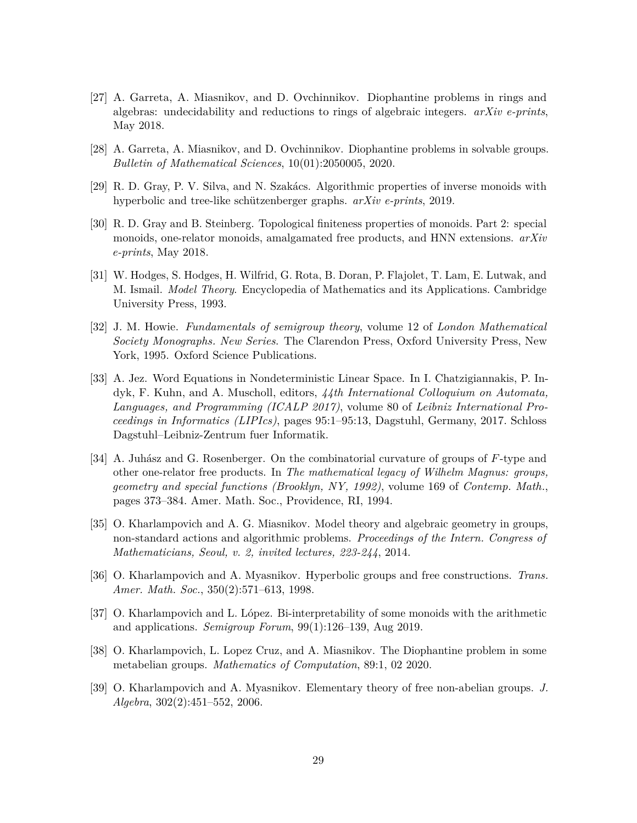- <span id="page-28-8"></span>[27] A. Garreta, A. Miasnikov, and D. Ovchinnikov. Diophantine problems in rings and algebras: undecidability and reductions to rings of algebraic integers. *arXiv e-prints*, May 2018.
- <span id="page-28-5"></span>[28] A. Garreta, A. Miasnikov, and D. Ovchinnikov. Diophantine problems in solvable groups. *Bulletin of Mathematical Sciences*, 10(01):2050005, 2020.
- <span id="page-28-10"></span>[29] R. D. Gray, P. V. Silva, and N. Szakács. Algorithmic properties of inverse monoids with hyperbolic and tree-like schützenberger graphs. *arXiv e-prints*, 2019.
- <span id="page-28-9"></span>[30] R. D. Gray and B. Steinberg. Topological finiteness properties of monoids. Part 2: special monoids, one-relator monoids, amalgamated free products, and HNN extensions. *arXiv e-prints*, May 2018.
- <span id="page-28-6"></span>[31] W. Hodges, S. Hodges, H. Wilfrid, G. Rota, B. Doran, P. Flajolet, T. Lam, E. Lutwak, and M. Ismail. *Model Theory*. Encyclopedia of Mathematics and its Applications. Cambridge University Press, 1993.
- <span id="page-28-7"></span>[32] J. M. Howie. *Fundamentals of semigroup theory*, volume 12 of *London Mathematical Society Monographs. New Series*. The Clarendon Press, Oxford University Press, New York, 1995. Oxford Science Publications.
- <span id="page-28-4"></span>[33] A. Jez. Word Equations in Nondeterministic Linear Space. In I. Chatzigiannakis, P. Indyk, F. Kuhn, and A. Muscholl, editors, *44th International Colloquium on Automata, Languages, and Programming (ICALP 2017)*, volume 80 of *Leibniz International Proceedings in Informatics (LIPIcs)*, pages 95:1–95:13, Dagstuhl, Germany, 2017. Schloss Dagstuhl–Leibniz-Zentrum fuer Informatik.
- <span id="page-28-11"></span>[34] A. Juhász and G. Rosenberger. On the combinatorial curvature of groups of *F*-type and other one-relator free products. In *The mathematical legacy of Wilhelm Magnus: groups, geometry and special functions (Brooklyn, NY, 1992)*, volume 169 of *Contemp. Math.*, pages 373–384. Amer. Math. Soc., Providence, RI, 1994.
- <span id="page-28-2"></span>[35] O. Kharlampovich and A. G. Miasnikov. Model theory and algebraic geometry in groups, non-standard actions and algorithmic problems. *Proceedings of the Intern. Congress of Mathematicians, Seoul, v. 2, invited lectures, 223-244*, 2014.
- <span id="page-28-12"></span>[36] O. Kharlampovich and A. Myasnikov. Hyperbolic groups and free constructions. *Trans. Amer. Math. Soc.*, 350(2):571–613, 1998.
- <span id="page-28-1"></span>[37] O. Kharlampovich and L. López. Bi-interpretability of some monoids with the arithmetic and applications. *Semigroup Forum*, 99(1):126–139, Aug 2019.
- <span id="page-28-0"></span>[38] O. Kharlampovich, L. Lopez Cruz, and A. Miasnikov. The Diophantine problem in some metabelian groups. *Mathematics of Computation*, 89:1, 02 2020.
- <span id="page-28-3"></span>[39] O. Kharlampovich and A. Myasnikov. Elementary theory of free non-abelian groups. *J. Algebra*, 302(2):451–552, 2006.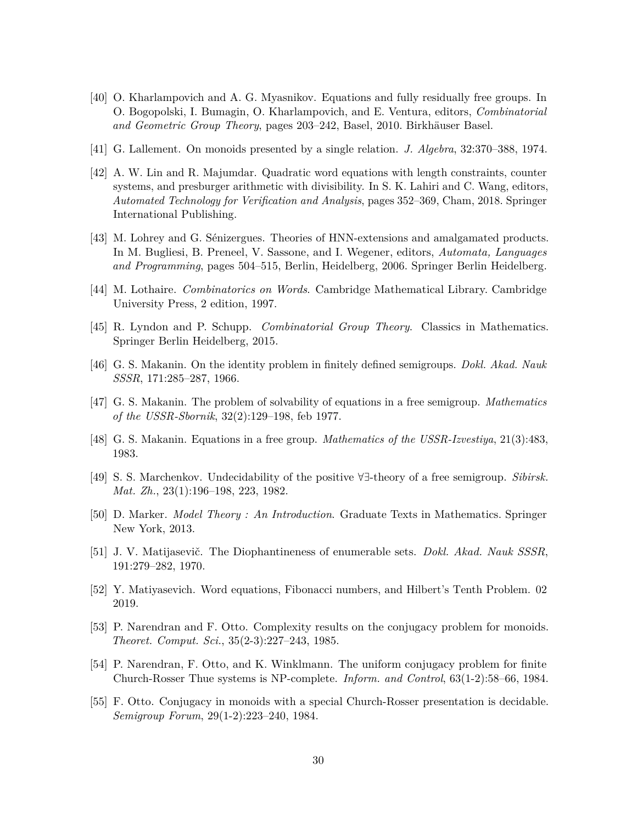- <span id="page-29-0"></span>[40] O. Kharlampovich and A. G. Myasnikov. Equations and fully residually free groups. In O. Bogopolski, I. Bumagin, O. Kharlampovich, and E. Ventura, editors, *Combinatorial and Geometric Group Theory*, pages 203–242, Basel, 2010. Birkhäuser Basel.
- <span id="page-29-11"></span>[41] G. Lallement. On monoids presented by a single relation. *J. Algebra*, 32:370–388, 1974.
- <span id="page-29-4"></span>[42] A. W. Lin and R. Majumdar. Quadratic word equations with length constraints, counter systems, and presburger arithmetic with divisibility. In S. K. Lahiri and C. Wang, editors, *Automated Technology for Verification and Analysis*, pages 352–369, Cham, 2018. Springer International Publishing.
- <span id="page-29-3"></span>[43] M. Lohrey and G. Sénizergues. Theories of HNN-extensions and amalgamated products. In M. Bugliesi, B. Preneel, V. Sassone, and I. Wegener, editors, *Automata, Languages and Programming*, pages 504–515, Berlin, Heidelberg, 2006. Springer Berlin Heidelberg.
- <span id="page-29-15"></span>[44] M. Lothaire. *Combinatorics on Words*. Cambridge Mathematical Library. Cambridge University Press, 2 edition, 1997.
- <span id="page-29-14"></span>[45] R. Lyndon and P. Schupp. *Combinatorial Group Theory*. Classics in Mathematics. Springer Berlin Heidelberg, 2015.
- <span id="page-29-10"></span>[46] G. S. Makanin. On the identity problem in finitely defined semigroups. *Dokl. Akad. Nauk SSSR*, 171:285–287, 1966.
- <span id="page-29-1"></span>[47] G. S. Makanin. The problem of solvability of equations in a free semigroup. *Mathematics of the USSR-Sbornik*, 32(2):129–198, feb 1977.
- <span id="page-29-2"></span>[48] G. S. Makanin. Equations in a free group. *Mathematics of the USSR-Izvestiya*, 21(3):483, 1983.
- <span id="page-29-13"></span>[49] S. S. Marchenkov. Undecidability of the positive @D-theory of a free semigroup. *Sibirsk. Mat. Zh.*, 23(1):196–198, 223, 1982.
- <span id="page-29-12"></span>[50] D. Marker. *Model Theory : An Introduction*. Graduate Texts in Mathematics. Springer New York, 2013.
- <span id="page-29-6"></span>[51] J. V. Matijasevič. The Diophantineness of enumerable sets. *Dokl. Akad. Nauk SSSR*, 191:279–282, 1970.
- <span id="page-29-5"></span>[52] Y. Matiyasevich. Word equations, Fibonacci numbers, and Hilbert's Tenth Problem. 02 2019.
- <span id="page-29-7"></span>[53] P. Narendran and F. Otto. Complexity results on the conjugacy problem for monoids. *Theoret. Comput. Sci.*, 35(2-3):227–243, 1985.
- <span id="page-29-8"></span>[54] P. Narendran, F. Otto, and K. Winklmann. The uniform conjugacy problem for finite Church-Rosser Thue systems is NP-complete. *Inform. and Control*, 63(1-2):58–66, 1984.
- <span id="page-29-9"></span>[55] F. Otto. Conjugacy in monoids with a special Church-Rosser presentation is decidable. *Semigroup Forum*, 29(1-2):223–240, 1984.